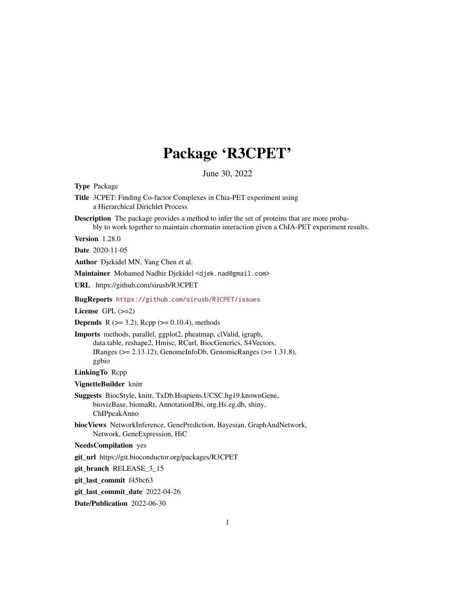# Package 'R3CPET'

June 30, 2022

<span id="page-0-0"></span>Type Package

Title 3CPET: Finding Co-factor Complexes in Chia-PET experiment using a Hierarchical Dirichlet Process

Description The package provides a method to infer the set of proteins that are more probably to work together to maintain chormatin interaction given a ChIA-PET experiment results.

Version 1.28.0

Date 2020-11-05

Author Djekidel MN, Yang Chen et al.

Maintainer Mohamed Nadhir Djekidel <djek.nad@gmail.com>

URL https://github.com/sirusb/R3CPET

BugReports <https://github.com/sirusb/R3CPET/issues>

License GPL (>=2)

**Depends** R ( $>= 3.2$ ), Rcpp ( $>= 0.10.4$ ), methods

Imports methods, parallel, ggplot2, pheatmap, clValid, igraph, data.table, reshape2, Hmisc, RCurl, BiocGenerics, S4Vectors, IRanges (>= 2.13.12), GenomeInfoDb, GenomicRanges (>= 1.31.8), ggbio

LinkingTo Rcpp

VignetteBuilder knitr

- Suggests BiocStyle, knitr, TxDb.Hsapiens.UCSC.hg19.knownGene, biovizBase, biomaRt, AnnotationDbi, org.Hs.eg.db, shiny, ChIPpeakAnno
- biocViews NetworkInference, GenePrediction, Bayesian, GraphAndNetwork, Network, GeneExpression, HiC

#### NeedsCompilation yes

git\_url https://git.bioconductor.org/packages/R3CPET

git\_branch RELEASE\_3\_15

git\_last\_commit f45bc63

git last commit date 2022-04-26

Date/Publication 2022-06-30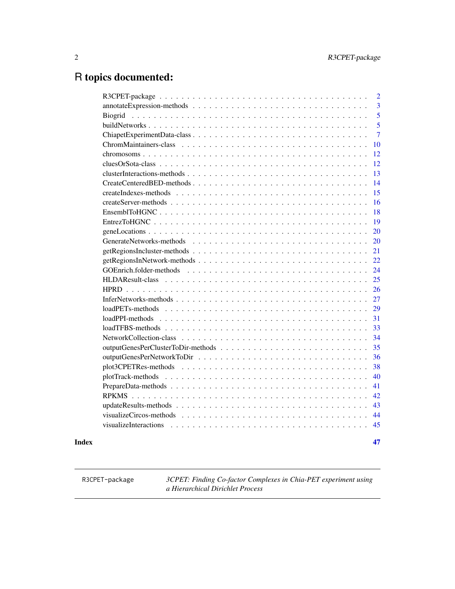# <span id="page-1-0"></span>R topics documented:

| $\overline{2}$                    |
|-----------------------------------|
| $\overline{3}$                    |
| 5<br>Biogrid                      |
| 5                                 |
| $\overline{7}$                    |
| 10                                |
| 12                                |
| 12                                |
| 13                                |
| CreateCenteredBED-methods<br>14   |
| 15                                |
| 16                                |
| 18                                |
| 19                                |
| 20                                |
| 20                                |
| 21                                |
| getRegionsInNetwork-methods<br>22 |
| 24                                |
| 25                                |
| 26                                |
| 27                                |
| 29                                |
| 31                                |
| 33                                |
| 34                                |
| 35                                |
| 36                                |
| 38                                |
| 40                                |
| 41                                |
| 42                                |
| 43                                |
| 44                                |
| 45                                |
|                                   |

### **Index** [47](#page-46-0)

R3CPET-package *3CPET: Finding Co-factor Complexes in Chia-PET experiment using a Hierarchical Dirichlet Process*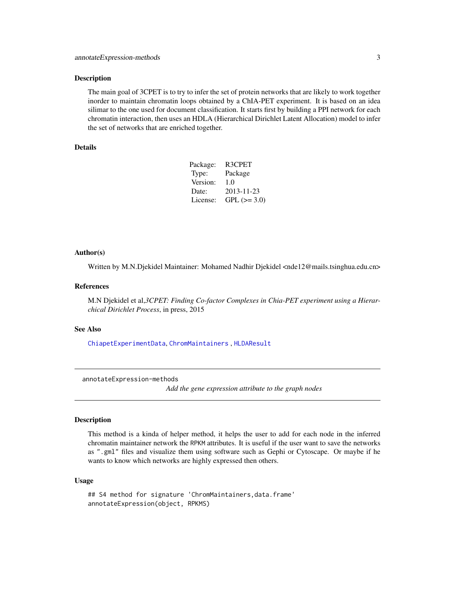<span id="page-2-0"></span>The main goal of 3CPET is to try to infer the set of protein networks that are likely to work together inorder to maintain chromatin loops obtained by a ChIA-PET experiment. It is based on an idea silimar to the one used for document classification. It starts first by building a PPI network for each chromatin interaction, then uses an HDLA (Hierarchical Dirichlet Latent Allocation) model to infer the set of networks that are enriched together.

### Details

| Package: | R3CPET       |
|----------|--------------|
| Type:    | Package      |
| Version: | 1.0          |
| Date:    | 2013-11-23   |
| License: | $GPL (=3.0)$ |

#### Author(s)

Written by M.N.Djekidel Maintainer: Mohamed Nadhir Djekidel <nde12@mails.tsinghua.edu.cn>

### References

M.N Djekidel et al,*3CPET: Finding Co-factor Complexes in Chia-PET experiment using a Hierarchical Dirichlet Process*, in press, 2015

#### See Also

[ChiapetExperimentData](#page-6-1), [ChromMaintainers](#page-9-1) , [HLDAResult](#page-24-1)

annotateExpression-methods

*Add the gene expression attribute to the graph nodes*

### Description

This method is a kinda of helper method, it helps the user to add for each node in the inferred chromatin maintainer network the RPKM attributes. It is useful if the user want to save the networks as ".gml" files and visualize them using software such as Gephi or Cytoscape. Or maybe if he wants to know which networks are highly expressed then others.

#### Usage

```
## S4 method for signature 'ChromMaintainers, data.frame'
annotateExpression(object, RPKMS)
```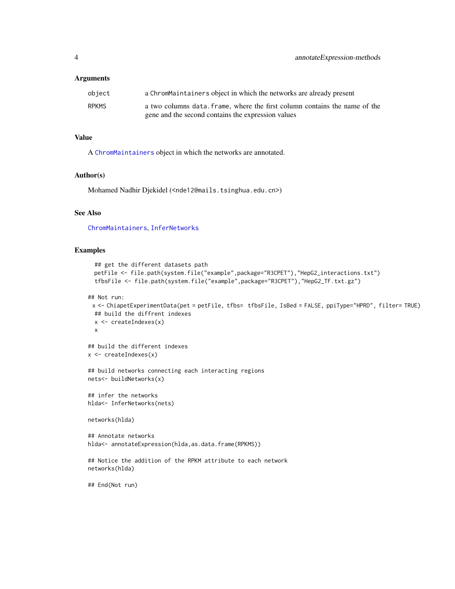#### <span id="page-3-0"></span>Arguments

| object       | a ChromMaintainers object in which the networks are already present        |
|--------------|----------------------------------------------------------------------------|
| <b>RPKMS</b> | a two columns data, frame, where the first column contains the name of the |
|              | gene and the second contains the expression values                         |

### Value

A [ChromMaintainers](#page-9-1) object in which the networks are annotated.

### Author(s)

Mohamed Nadhir Djekidel (<nde12@mails.tsinghua.edu.cn>)

### See Also

[ChromMaintainers](#page-9-1), [InferNetworks](#page-26-1)

### Examples

```
## get the different datasets path
 petFile <- file.path(system.file("example",package="R3CPET"),"HepG2_interactions.txt")
 tfbsFile <- file.path(system.file("example",package="R3CPET"),"HepG2_TF.txt.gz")
## Not run:
```

```
x <- ChiapetExperimentData(pet = petFile, tfbs= tfbsFile, IsBed = FALSE, ppiType="HPRD", filter= TRUE)
## build the diffrent indexes
x \leftarrow createIndexes(x)
x
```

```
## build the different indexes
x <- createIndexes(x)
```
## build networks connecting each interacting regions nets<- buildNetworks(x)

## infer the networks hlda<- InferNetworks(nets)

networks(hlda)

```
## Annotate networks
hlda<- annotateExpression(hlda,as.data.frame(RPKMS))
```
## Notice the addition of the RPKM attribute to each network networks(hlda)

## End(Not run)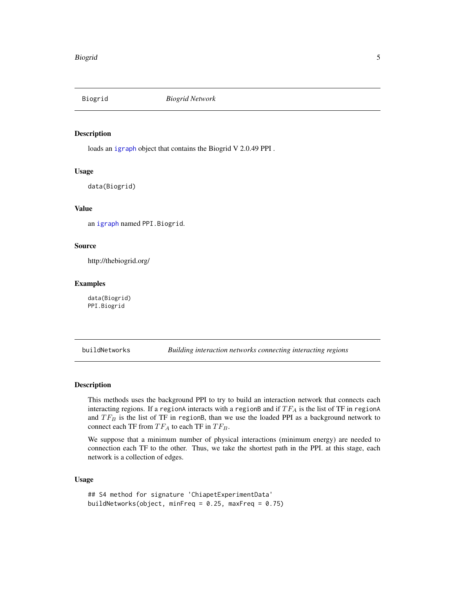<span id="page-4-0"></span>

loads an [igraph](#page-0-0) object that contains the Biogrid V 2.0.49 PPI .

### Usage

data(Biogrid)

### Value

an [igraph](#page-0-0) named PPI.Biogrid.

### Source

http://thebiogrid.org/

#### Examples

data(Biogrid) PPI.Biogrid

<span id="page-4-1"></span>buildNetworks *Building interaction networks connecting interacting regions*

### Description

This methods uses the background PPI to try to build an interaction network that connects each interacting regions. If a regionA interacts with a regionB and if  $TF_A$  is the list of TF in regionA and  $TF_B$  is the list of TF in regionB, than we use the loaded PPI as a background network to connect each TF from  $TF_A$  to each TF in  $TF_B$ .

We suppose that a minimum number of physical interactions (minimum energy) are needed to connection each TF to the other. Thus, we take the shortest path in the PPI. at this stage, each network is a collection of edges.

#### Usage

```
## S4 method for signature 'ChiapetExperimentData'
buildNetworks(object, minFreq = 0.25, maxFreq = 0.75)
```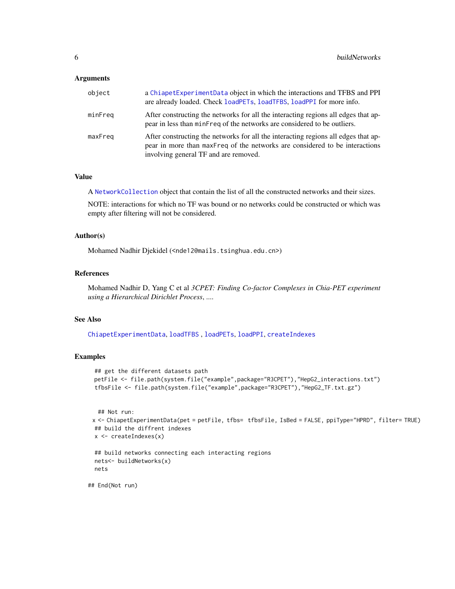#### <span id="page-5-0"></span>Arguments

| object  | a ChiapetExperimentData object in which the interactions and TFBS and PPI<br>are already loaded. Check loadPETs, loadTFBS, loadPPI for more info.                                                          |
|---------|------------------------------------------------------------------------------------------------------------------------------------------------------------------------------------------------------------|
| minFreq | After constructing the networks for all the interacting regions all edges that ap-<br>pear in less than minFreq of the networks are considered to be outliers.                                             |
| maxFreq | After constructing the networks for all the interacting regions all edges that ap-<br>pear in more than maxFreq of the networks are considered to be interactions<br>involving general TF and are removed. |

### Value

A [NetworkCollection](#page-33-1) object that contain the list of all the constructed networks and their sizes.

NOTE: interactions for which no TF was bound or no networks could be constructed or which was empty after filtering will not be considered.

#### Author(s)

Mohamed Nadhir Djekidel (<nde12@mails.tsinghua.edu.cn>)

#### References

Mohamed Nadhir D, Yang C et al *3CPET: Finding Co-factor Complexes in Chia-PET experiment using a Hierarchical Dirichlet Process*, ....

## See Also

[ChiapetExperimentData](#page-6-1), [loadTFBS](#page-32-1) , [loadPETs](#page-28-1), [loadPPI](#page-30-1), [createIndexes](#page-14-1)

#### Examples

```
## get the different datasets path
petFile <- file.path(system.file("example",package="R3CPET"),"HepG2_interactions.txt")
tfbsFile <- file.path(system.file("example",package="R3CPET"),"HepG2_TF.txt.gz")
```

```
## Not run:
x <- ChiapetExperimentData(pet = petFile, tfbs= tfbsFile, IsBed = FALSE, ppiType="HPRD", filter= TRUE)
## build the diffrent indexes
x <- createIndexes(x)
## build networks connecting each interacting regions
```

```
nets<- buildNetworks(x)
nets
```
## End(Not run)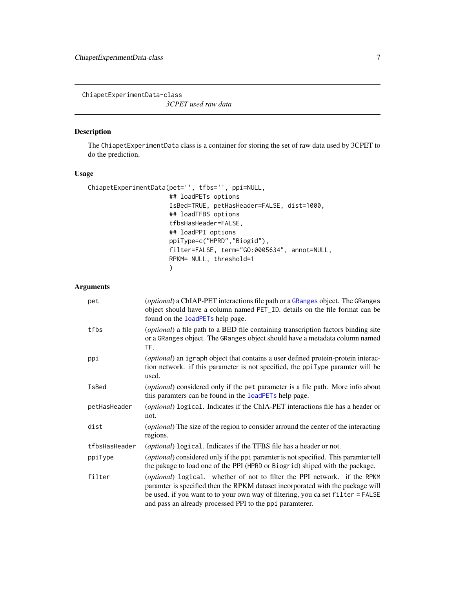<span id="page-6-0"></span>ChiapetExperimentData-class

*3CPET used raw data*

### <span id="page-6-1"></span>Description

The ChiapetExperimentData class is a container for storing the set of raw data used by 3CPET to do the prediction.

### Usage

```
ChiapetExperimentData(pet='', tfbs='', ppi=NULL,
                      ## loadPETs options
                      IsBed=TRUE, petHasHeader=FALSE, dist=1000,
                      ## loadTFBS options
                      tfbsHasHeader=FALSE,
                      ## loadPPI options
                      ppiType=c("HPRD","Biogid"),
                      filter=FALSE, term="GO:0005634", annot=NULL,
                      RPKM= NULL, threshold=1
                      )
```
### Arguments

| pet           | (optional) a ChIAP-PET interactions file path or a GRanges object. The GRanges<br>object should have a column named PET_ID. details on the file format can be<br>found on the loadPETs help page.                                                                                                          |
|---------------|------------------------------------------------------------------------------------------------------------------------------------------------------------------------------------------------------------------------------------------------------------------------------------------------------------|
| tfbs          | <i>(optional)</i> a file path to a BED file containing transcription factors binding site<br>or a GRanges object. The GRanges object should have a metadata column named<br>TF.                                                                                                                            |
| ppi           | (optional) an igraph object that contains a user defined protein-protein interac-<br>tion network. if this parameter is not specified, the ppiType paramter will be<br>used.                                                                                                                               |
| IsBed         | ( <i>optional</i> ) considered only if the pet parameter is a file path. More info about<br>this paramters can be found in the loadPETs help page.                                                                                                                                                         |
| petHasHeader  | <i>(optional)</i> logical. Indicates if the ChIA-PET interactions file has a header or<br>not.                                                                                                                                                                                                             |
| dist          | ( <i>optional</i> ) The size of the region to consider arround the center of the interacting<br>regions.                                                                                                                                                                                                   |
| tfbsHasHeader | (optional) logical. Indicates if the TFBS file has a header or not.                                                                                                                                                                                                                                        |
| ppiType       | ( <i>optional</i> ) considered only if the ppi paramter is not specified. This paramter tell<br>the pakage to load one of the PPI (HPRD or Biogrid) shiped with the package.                                                                                                                               |
| filter        | (optional) logical. whether of not to filter the PPI network. if the RPKM<br>paramter is specified then the RPKM dataset incorporated with the package will<br>be used. if you want to to your own way of filtering, you ca set filter = FALSE<br>and pass an already processed PPI to the ppi paramterer. |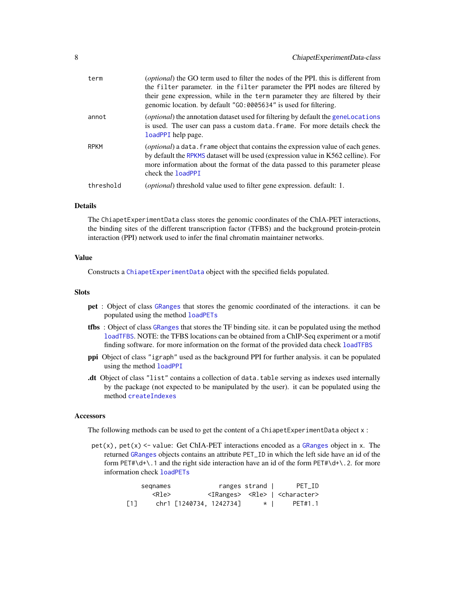<span id="page-7-0"></span>

| term        | <i>(optional)</i> the GO term used to filter the nodes of the PPI. this is different from<br>the filter parameter, in the filter parameter the PPI nodes are filtered by<br>their gene expression, while in the term parameter they are filtered by their<br>genomic location. by default "GO: 0005634" is used for filtering. |
|-------------|--------------------------------------------------------------------------------------------------------------------------------------------------------------------------------------------------------------------------------------------------------------------------------------------------------------------------------|
| annot       | <i>(optional)</i> the annotation dataset used for filtering by default the geneLocations<br>is used. The user can pass a custom data. frame. For more details check the<br>loadPPI help page.                                                                                                                                  |
| <b>RPKM</b> | (optional) a data. frame object that contains the expression value of each genes.<br>by default the RPKMS dataset will be used (expression value in K562 celline). For<br>more information about the format of the data passed to this parameter please<br>check the loadPPI                                                   |
| threshold   | <i>(optional)</i> threshold value used to filter gene expression. default: 1.                                                                                                                                                                                                                                                  |

#### Details

The ChiapetExperimentData class stores the genomic coordinates of the ChIA-PET interactions, the binding sites of the different transcription factor (TFBS) and the background protein-protein interaction (PPI) network used to infer the final chromatin maintainer networks.

### Value

Constructs a [ChiapetExperimentData](#page-6-1) object with the specified fields populated.

#### **Slots**

- pet : Object of class [GRanges](#page-0-0) that stores the genomic coordinated of the interactions. it can be populated using the method [loadPETs](#page-28-1)
- tfbs : Object of class [GRanges](#page-0-0) that stores the TF binding site. it can be populated using the method [loadTFBS](#page-32-1). NOTE: the TFBS locations can be obtained from a ChIP-Seq experiment or a motif finding software. for more information on the format of the provided data check [loadTFBS](#page-32-1)
- ppi Object of class "igraph" used as the background PPI for further analysis. it can be populated using the method [loadPPI](#page-30-1)
- .dt Object of class "list" contains a collection of data.table serving as indexes used internally by the package (not expected to be manipulated by the user). it can be populated using the method [createIndexes](#page-14-1)

#### Accessors

The following methods can be used to get the content of a ChiapetExperimentData object x :

pet(x), pet(x)  $\le$  value: Get ChIA-PET interactions encoded as a [GRanges](#page-0-0) object in x. The returned [GRanges](#page-0-0) objects contains an attribute PET\_ID in which the left side have an id of the form PET#\d+\.1 and the right side interaction have an id of the form PET#\d+\.2. for more information check [loadPETs](#page-28-1)

|            | segnames    |                         | ranges strand | PET ID                                                    |
|------------|-------------|-------------------------|---------------|-----------------------------------------------------------|
|            | <rle></rle> |                         |               | <iranges> <rle>   <character></character></rle></iranges> |
| <b>F11</b> |             | chr1 [1240734, 1242734] | $\star$       | PET#1.1                                                   |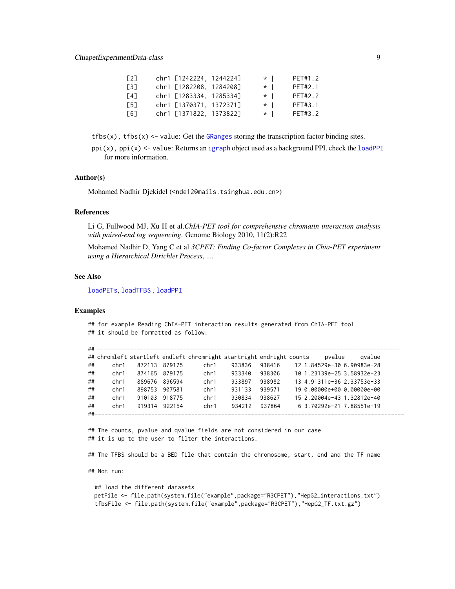<span id="page-8-0"></span>

| PET#1.2 |
|---------|
| PET#2.1 |
| PET#2.2 |
| PET#3.1 |
| PET#3.2 |
|         |

 $tfbs(x)$ ,  $tfbs(x)$  <- value: Get the [GRanges](#page-0-0) storing the transcription factor binding sites.

#### Author(s)

Mohamed Nadhir Djekidel (<nde12@mails.tsinghua.edu.cn>)

### References

Li G, Fullwood MJ, Xu H et al.*ChIA-PET tool for comprehensive chromatin interaction analysis with paired-end tag sequencing*. Genome Biology 2010, 11(2):R22

Mohamed Nadhir D, Yang C et al *3CPET: Finding Co-factor Complexes in Chia-PET experiment using a Hierarchical Dirichlet Process*, ....

#### See Also

[loadPETs](#page-28-1), [loadTFBS](#page-32-1) , [loadPPI](#page-30-1)

### Examples

## for example Reading ChIA-PET interaction results generated from ChIA-PET tool ## it should be formatted as follow:

|     |      |               |        | ## chromleft startleft endleft chromright startright endright counts |        |        | pvalue                     | qvalue                     |  |
|-----|------|---------------|--------|----------------------------------------------------------------------|--------|--------|----------------------------|----------------------------|--|
| ##  | chr1 | 872113 879175 |        | chr1                                                                 | 933836 | 938416 |                            | 12 1.84529e-30 6.90983e-28 |  |
| ##  | chr1 | 874165 879175 |        | chr1                                                                 | 933340 | 938306 | 10 1.23139e-25 3.58932e-23 |                            |  |
| ##  | chr1 | 889676        | 896594 | chr1                                                                 | 933897 | 938982 |                            | 13 4.91311e-36 2.33753e-33 |  |
| ##  | chr1 | 898753        | 907581 | chr1                                                                 | 931133 | 939571 |                            | 19 0.00000e+00 0.00000e+00 |  |
| ##  | chr1 | 910103        | 918775 | chr1                                                                 | 930834 | 938627 |                            | 15 2.20004e-43 1.32812e-40 |  |
| ##  | chr1 | 919314        | 922154 | chr1                                                                 | 934212 | 937864 |                            | 6 3.70292e-21 7.88551e-19  |  |
| ##- |      |               |        |                                                                      |        |        |                            |                            |  |

## The counts, pvalue and qvalue fields are not considered in our case ## it is up to the user to filter the interactions.

## The TFBS should be a BED file that contain the chromosome, start, end and the TF name

## Not run:

## load the different datasets petFile <- file.path(system.file("example",package="R3CPET"),"HepG2\_interactions.txt") tfbsFile <- file.path(system.file("example",package="R3CPET"),"HepG2\_TF.txt.gz")

ppi(x), ppi(x)  $\le$  value: Returns an [igraph](#page-0-0) object used as a background PPI. check the [loadPPI](#page-30-1) for more information.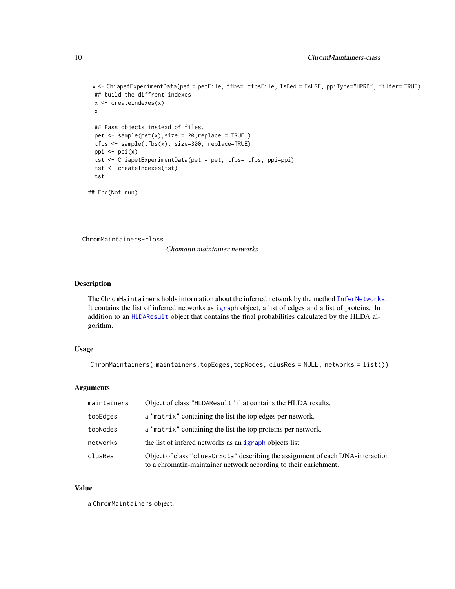```
x <- ChiapetExperimentData(pet = petFile, tfbs= tfbsFile, IsBed = FALSE, ppiType="HPRD", filter= TRUE)
 ## build the diffrent indexes
 x <- createIndexes(x)
 x
 ## Pass objects instead of files.
 pet \le sample(pet(x), size = 20, replace = TRUE)
 tfbs <- sample(tfbs(x), size=300, replace=TRUE)
 ppi <- ppi(x)
 tst <- ChiapetExperimentData(pet = pet, tfbs= tfbs, ppi=ppi)
 tst <- createIndexes(tst)
 tst
## End(Not run)
```
ChromMaintainers-class

*Chomatin maintainer networks*

### <span id="page-9-1"></span>Description

The ChromMaintainers holds information about the inferred network by the method [InferNetworks](#page-26-1). It contains the list of inferred networks as [igraph](#page-0-0) object, a list of edges and a list of proteins. In addition to an [HLDAResult](#page-24-1) object that contains the final probabilities calculated by the HLDA algorithm.

### Usage

```
ChromMaintainers( maintainers,topEdges,topNodes, clusRes = NULL, networks = list())
```
### Arguments

| maintainers | Object of class "HLDAResult" that contains the HLDA results.                                                                                         |
|-------------|------------------------------------------------------------------------------------------------------------------------------------------------------|
| topEdges    | a "matrix" containing the list the top edges per network.                                                                                            |
| topNodes    | a "matrix" containing the list the top proteins per network.                                                                                         |
| networks    | the list of infered networks as an igraph objects list                                                                                               |
| clusRes     | Object of class "clues0r Sota" describing the assignment of each DNA-interaction<br>to a chromatin-maintainer network according to their enrichment. |

#### Value

a ChromMaintainers object.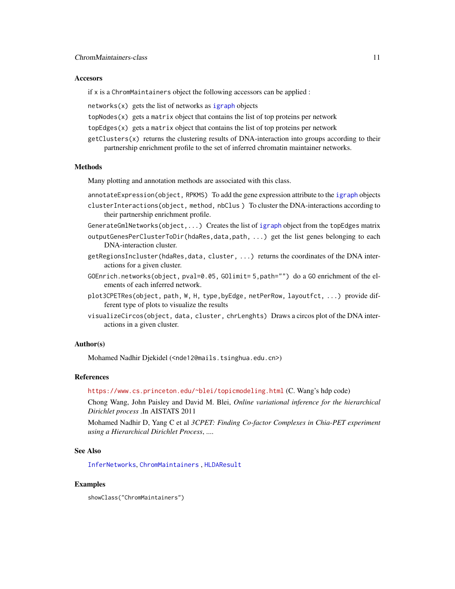#### <span id="page-10-0"></span>**Accesors**

if x is a ChromMaintainers object the following accessors can be applied :

networks $(x)$  gets the list of networks as [igraph](#page-0-0) objects

- topNodes(x) gets a matrix object that contains the list of top proteins per network
- topEdges(x) gets a matrix object that contains the list of top proteins per network
- getClusters(x) returns the clustering results of DNA-interaction into groups according to their partnership enrichment profile to the set of inferred chromatin maintainer networks.

#### Methods

Many plotting and annotation methods are associated with this class.

- annotateExpression(object, RPKMS) To add the gene expression attribute to the [igraph](#page-0-0) objects
- clusterInteractions(object, method, nbClus ) To cluster the DNA-interactions according to their partnership enrichment profile.
- GenerateGmlNetworks(object,...) Creates the list of [igraph](#page-0-0) object from the topEdges matrix outputGenesPerClusterToDir(hdaRes,data,path, ...) get the list genes belonging to each DNA-interaction cluster.
- getRegionsIncluster(hdaRes,data, cluster, ...) returns the coordinates of the DNA interactions for a given cluster.
- GOEnrich.networks(object, pval=0.05, GOlimit= 5,path="") do a GO enrichment of the elements of each inferred network.
- plot3CPETRes(object, path, W, H, type,byEdge, netPerRow, layoutfct, ...) provide different type of plots to visualize the results
- visualizeCircos(object, data, cluster, chrLenghts) Draws a circos plot of the DNA interactions in a given cluster.

### Author(s)

Mohamed Nadhir Djekidel (<nde12@mails.tsinghua.edu.cn>)

#### References

<https://www.cs.princeton.edu/~blei/topicmodeling.html> (C. Wang's hdp code)

Chong Wang, John Paisley and David M. Blei, *Online variational inference for the hierarchical Dirichlet process* .In AISTATS 2011

Mohamed Nadhir D, Yang C et al *3CPET: Finding Co-factor Complexes in Chia-PET experiment using a Hierarchical Dirichlet Process*, ....

#### See Also

[InferNetworks](#page-26-1), [ChromMaintainers](#page-9-1) , [HLDAResult](#page-24-1)

#### Examples

showClass("ChromMaintainers")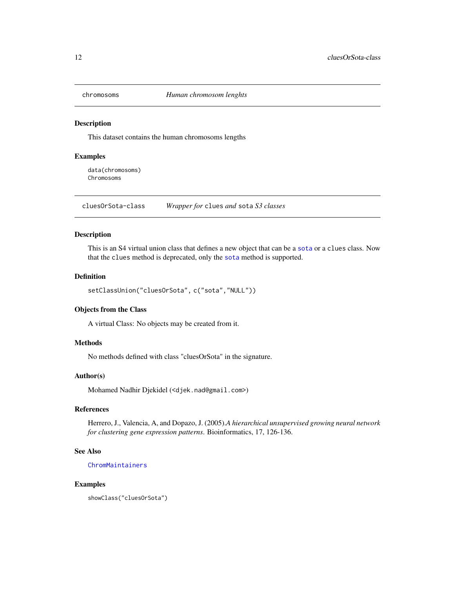<span id="page-11-0"></span>

This dataset contains the human chromosoms lengths

### Examples

data(chromosoms) Chromosoms

cluesOrSota-class *Wrapper for* clues *and* sota *S3 classes*

#### Description

This is an S4 virtual union class that defines a new object that can be a [sota](#page-0-0) or a clues class. Now that the clues method is deprecated, only the [sota](#page-0-0) method is supported.

#### Definition

setClassUnion("cluesOrSota", c("sota","NULL"))

### Objects from the Class

A virtual Class: No objects may be created from it.

### Methods

No methods defined with class "cluesOrSota" in the signature.

### Author(s)

Mohamed Nadhir Djekidel (<djek.nad@gmail.com>)

### References

Herrero, J., Valencia, A, and Dopazo, J. (2005).*A hierarchical unsupervised growing neural network for clustering gene expression patterns*. Bioinformatics, 17, 126-136.

### See Also

**[ChromMaintainers](#page-9-1)** 

#### Examples

showClass("cluesOrSota")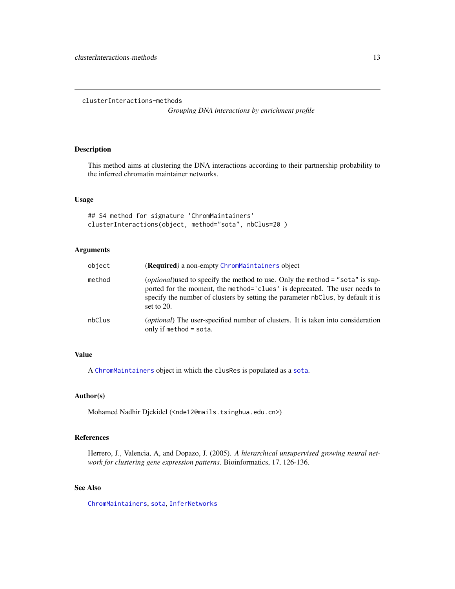<span id="page-12-0"></span>clusterInteractions-methods

*Grouping DNA interactions by enrichment profile*

### <span id="page-12-1"></span>Description

This method aims at clustering the DNA interactions according to their partnership probability to the inferred chromatin maintainer networks.

### Usage

```
## S4 method for signature 'ChromMaintainers'
clusterInteractions(object, method="sota", nbClus=20 )
```
### Arguments

| object | ( <b>Required</b> ) a non-empty ChromMaintainers object                                                                                                                                                                                                        |
|--------|----------------------------------------------------------------------------------------------------------------------------------------------------------------------------------------------------------------------------------------------------------------|
| method | (optional) used to specify the method to use. Only the method = "sota" is sup-<br>ported for the moment, the method='clues' is deprecated. The user needs to<br>specify the number of clusters by setting the parameter nbClus, by default it is<br>set to 20. |
| nbClus | <i>(optional)</i> The user-specified number of clusters. It is taken into consideration<br>only if method $=$ sota.                                                                                                                                            |

### Value

A [ChromMaintainers](#page-9-1) object in which the clusRes is populated as a [sota](#page-0-0).

#### Author(s)

Mohamed Nadhir Djekidel (<nde12@mails.tsinghua.edu.cn>)

### References

Herrero, J., Valencia, A, and Dopazo, J. (2005). *A hierarchical unsupervised growing neural network for clustering gene expression patterns*. Bioinformatics, 17, 126-136.

### See Also

[ChromMaintainers](#page-9-1), [sota](#page-0-0), [InferNetworks](#page-26-1)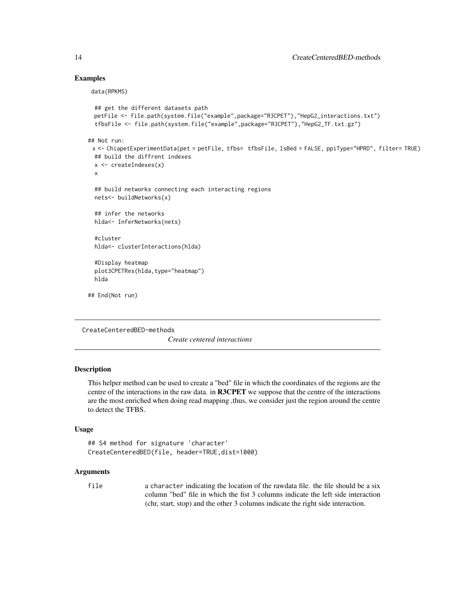### Examples

data(RPKMS)

```
## get the different datasets path
 petFile <- file.path(system.file("example",package="R3CPET"),"HepG2_interactions.txt")
 tfbsFile <- file.path(system.file("example",package="R3CPET"),"HepG2_TF.txt.gz")
## Not run:
 x <- ChiapetExperimentData(pet = petFile, tfbs= tfbsFile, IsBed = FALSE, ppiType="HPRD", filter= TRUE)
 ## build the diffrent indexes
 x <- createIndexes(x)
 x
 ## build networks connecting each interacting regions
 nets<- buildNetworks(x)
 ## infer the networks
 hlda<- InferNetworks(nets)
 #cluster
 hlda<- clusterInteractions(hlda)
 #Display heatmap
 plot3CPETRes(hlda,type="heatmap")
 hlda
## End(Not run)
```
CreateCenteredBED-methods

*Create centered interactions*

### **Description**

This helper method can be used to create a "bed" file in which the coordinates of the regions are the centre of the interactions in the raw data. in **R3CPET** we suppose that the centre of the interactions are the most enriched when doing read mapping ,thus, we consider just the region around the centre to detect the TFBS.

### Usage

```
## S4 method for signature 'character'
CreateCenteredBED(file, header=TRUE,dist=1000)
```
#### Arguments

file a character indicating the location of the rawdata file. the file should be a six column "bed" file in which the fist 3 columns indicate the left side interaction (chr, start, stop) and the other 3 columns indicate the right side interaction.

<span id="page-13-0"></span>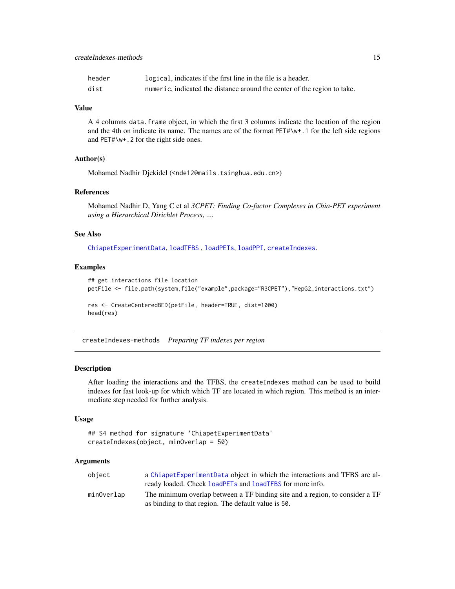### <span id="page-14-0"></span>createIndexes-methods 15

| header | logical, indicates if the first line in the file is a header.            |
|--------|--------------------------------------------------------------------------|
| dist   | numeric, indicated the distance around the center of the region to take. |

#### Value

A 4 columns data.frame object, in which the first 3 columns indicate the location of the region and the 4th on indicate its name. The names are of the format PET#\w+.1 for the left side regions and PET#\w+.2 for the right side ones.

### Author(s)

Mohamed Nadhir Djekidel (<nde12@mails.tsinghua.edu.cn>)

#### References

Mohamed Nadhir D, Yang C et al *3CPET: Finding Co-factor Complexes in Chia-PET experiment using a Hierarchical Dirichlet Process*, ....

### See Also

[ChiapetExperimentData](#page-6-1), [loadTFBS](#page-32-1) , [loadPETs](#page-28-1), [loadPPI](#page-30-1), [createIndexes](#page-14-1).

#### Examples

```
## get interactions file location
petFile <- file.path(system.file("example",package="R3CPET"),"HepG2_interactions.txt")
res <- CreateCenteredBED(petFile, header=TRUE, dist=1000)
head(res)
```
createIndexes-methods *Preparing TF indexes per region*

#### <span id="page-14-1"></span>Description

After loading the interactions and the TFBS, the createIndexes method can be used to build indexes for fast look-up for which which TF are located in which region. This method is an intermediate step needed for further analysis.

#### Usage

```
## S4 method for signature 'ChiapetExperimentData'
createIndexes(object, minOverlap = 50)
```
#### Arguments

| object     | a Chiapet Experiment Data object in which the interactions and TFBS are al-  |
|------------|------------------------------------------------------------------------------|
|            | ready loaded. Check loadPETs and loadTFBS for more info.                     |
| minOverlap | The minimum overlap between a TF binding site and a region, to consider a TF |
|            | as binding to that region. The default value is 50.                          |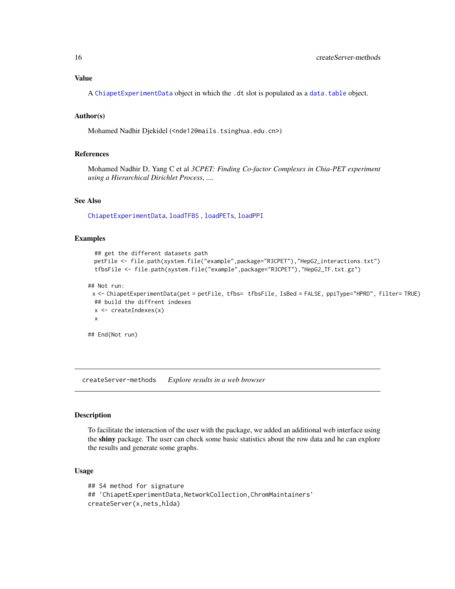### <span id="page-15-0"></span>Value

A [ChiapetExperimentData](#page-6-1) object in which the .dt slot is populated as a [data.table](#page-0-0) object.

### Author(s)

Mohamed Nadhir Djekidel (<nde12@mails.tsinghua.edu.cn>)

#### References

Mohamed Nadhir D, Yang C et al *3CPET: Finding Co-factor Complexes in Chia-PET experiment using a Hierarchical Dirichlet Process*, ....

### See Also

[ChiapetExperimentData](#page-6-1), [loadTFBS](#page-32-1) , [loadPETs](#page-28-1), [loadPPI](#page-30-1)

### Examples

```
## get the different datasets path
 petFile <- file.path(system.file("example",package="R3CPET"),"HepG2_interactions.txt")
 tfbsFile <- file.path(system.file("example",package="R3CPET"),"HepG2_TF.txt.gz")
## Not run:
 x <- ChiapetExperimentData(pet = petFile, tfbs= tfbsFile, IsBed = FALSE, ppiType="HPRD", filter= TRUE)
 ## build the diffrent indexes
 x <- createIndexes(x)
 x
```
## End(Not run)

createServer-methods *Explore results in a web browser*

#### Description

To facilitate the interaction of the user with the package, we added an additional web interface using the shiny package. The user can check some basic statistics about the row data and he can explore the results and generate some graphs.

#### Usage

```
## S4 method for signature
## 'ChiapetExperimentData,NetworkCollection,ChromMaintainers'
createServer(x,nets,hlda)
```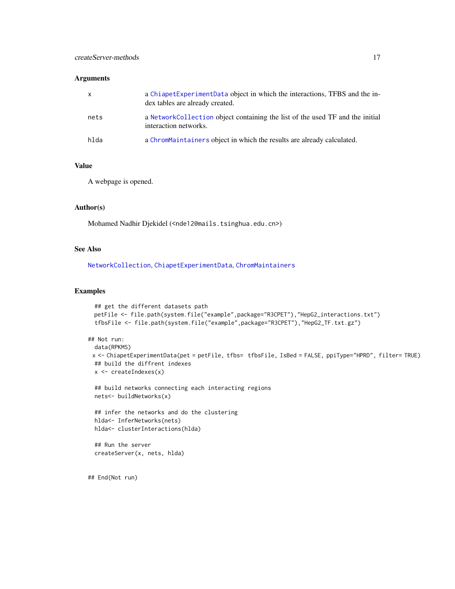### <span id="page-16-0"></span>Arguments

| X    | a ChiapetExperimentData object in which the interactions, TFBS and the in-<br>dex tables are already created. |
|------|---------------------------------------------------------------------------------------------------------------|
| nets | a Network Collection object containing the list of the used TF and the initial<br>interaction networks.       |
| hlda | a ChromMaintainers object in which the results are already calculated.                                        |

### Value

A webpage is opened.

### Author(s)

Mohamed Nadhir Djekidel (<nde12@mails.tsinghua.edu.cn>)

### See Also

[NetworkCollection](#page-33-1), [ChiapetExperimentData](#page-6-1), [ChromMaintainers](#page-9-1)

### Examples

```
## get the different datasets path
 petFile <- file.path(system.file("example",package="R3CPET"),"HepG2_interactions.txt")
 tfbsFile <- file.path(system.file("example",package="R3CPET"),"HepG2_TF.txt.gz")
## Not run:
 data(RPKMS)
 x <- ChiapetExperimentData(pet = petFile, tfbs= tfbsFile, IsBed = FALSE, ppiType="HPRD", filter= TRUE)
 ## build the diffrent indexes
 x <- createIndexes(x)
 ## build networks connecting each interacting regions
 nets<- buildNetworks(x)
 ## infer the networks and do the clustering
 hlda<- InferNetworks(nets)
 hlda<- clusterInteractions(hlda)
 ## Run the server
 createServer(x, nets, hlda)
## End(Not run)
```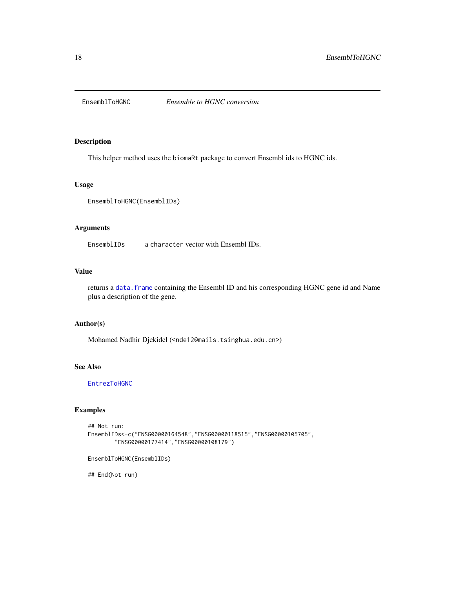<span id="page-17-1"></span><span id="page-17-0"></span>

This helper method uses the biomaRt package to convert Ensembl ids to HGNC ids.

### Usage

EnsemblToHGNC(EnsemblIDs)

### Arguments

EnsemblIDs a character vector with Ensembl IDs.

### Value

returns a [data.frame](#page-0-0) containing the Ensembl ID and his corresponding HGNC gene id and Name plus a description of the gene.

### Author(s)

Mohamed Nadhir Djekidel (<nde12@mails.tsinghua.edu.cn>)

### See Also

[EntrezToHGNC](#page-18-1)

### Examples

```
## Not run:
EnsemblIDs<-c("ENSG00000164548","ENSG00000118515","ENSG00000105705",
        "ENSG00000177414","ENSG00000108179")
```
EnsemblToHGNC(EnsemblIDs)

## End(Not run)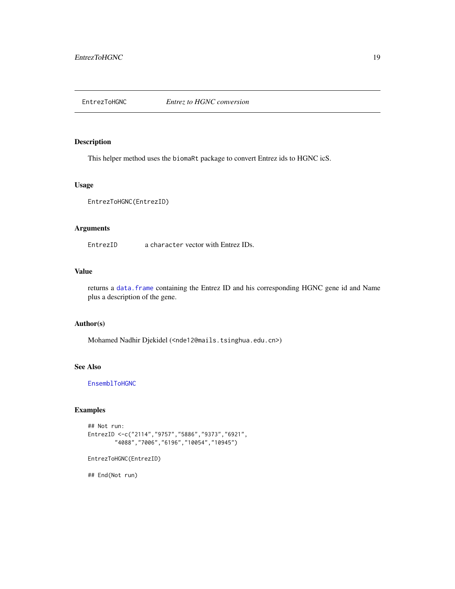<span id="page-18-1"></span><span id="page-18-0"></span>

This helper method uses the biomaRt package to convert Entrez ids to HGNC icS.

### Usage

EntrezToHGNC(EntrezID)

## Arguments

EntrezID a character vector with Entrez IDs.

### Value

returns a [data.frame](#page-0-0) containing the Entrez ID and his corresponding HGNC gene id and Name plus a description of the gene.

### Author(s)

Mohamed Nadhir Djekidel (<nde12@mails.tsinghua.edu.cn>)

### See Also

[EnsemblToHGNC](#page-17-1)

### Examples

```
## Not run:
EntrezID <-c("2114","9757","5886","9373","6921",
        "4088","7006","6196","10054","10945")
```
EntrezToHGNC(EntrezID)

## End(Not run)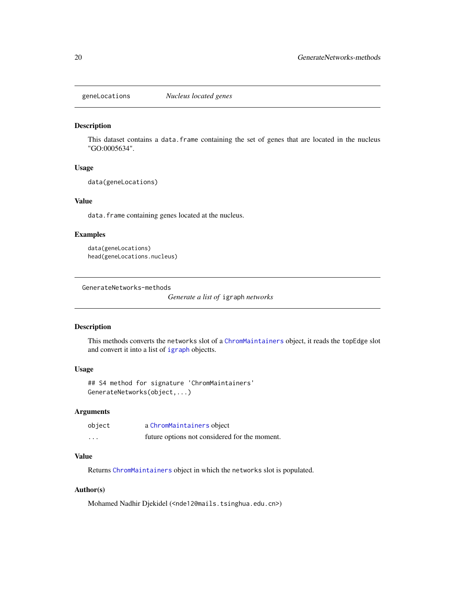<span id="page-19-1"></span><span id="page-19-0"></span>

This dataset contains a data.frame containing the set of genes that are located in the nucleus "GO:0005634".

### Usage

data(geneLocations)

### Value

data. frame containing genes located at the nucleus.

### Examples

```
data(geneLocations)
head(geneLocations.nucleus)
```
GenerateNetworks-methods

*Generate a list of* igraph *networks*

### Description

This methods converts the networks slot of a [ChromMaintainers](#page-9-1) object, it reads the topEdge slot and convert it into a list of [igraph](#page-0-0) objectts.

#### Usage

```
## S4 method for signature 'ChromMaintainers'
GenerateNetworks(object,...)
```
### Arguments

| object   | a ChromMaintainers object                     |
|----------|-----------------------------------------------|
| $\cdots$ | future options not considered for the moment. |

### Value

Returns [ChromMaintainers](#page-9-1) object in which the networks slot is populated.

### Author(s)

Mohamed Nadhir Djekidel (<nde12@mails.tsinghua.edu.cn>)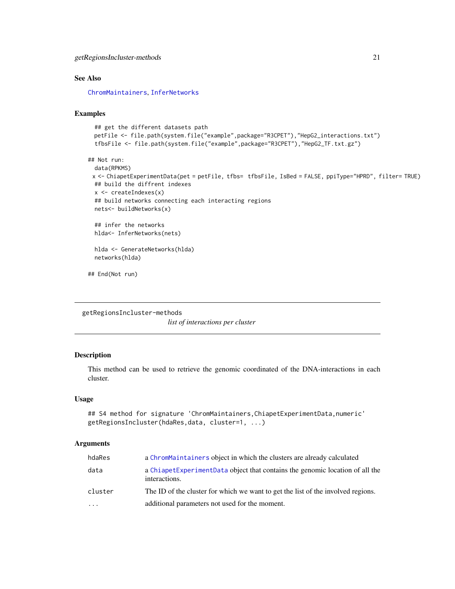### <span id="page-20-0"></span>See Also

[ChromMaintainers](#page-9-1), [InferNetworks](#page-26-1)

### Examples

```
## get the different datasets path
 petFile <- file.path(system.file("example",package="R3CPET"),"HepG2_interactions.txt")
 tfbsFile <- file.path(system.file("example",package="R3CPET"),"HepG2_TF.txt.gz")
## Not run:
 data(RPKMS)
 x <- ChiapetExperimentData(pet = petFile, tfbs= tfbsFile, IsBed = FALSE, ppiType="HPRD", filter= TRUE)
 ## build the diffrent indexes
 x <- createIndexes(x)
 ## build networks connecting each interacting regions
 nets<- buildNetworks(x)
 ## infer the networks
 hlda<- InferNetworks(nets)
 hlda <- GenerateNetworks(hlda)
 networks(hlda)
## End(Not run)
```

```
getRegionsIncluster-methods
```
*list of interactions per cluster*

### Description

This method can be used to retrieve the genomic coordinated of the DNA-interactions in each cluster.

#### Usage

```
## S4 method for signature 'ChromMaintainers, ChiapetExperimentData, numeric'
getRegionsIncluster(hdaRes,data, cluster=1, ...)
```
#### Arguments

| hdaRes   | a ChromMaintainers object in which the clusters are already calculated                        |
|----------|-----------------------------------------------------------------------------------------------|
| data     | a ChiapetExperimentData object that contains the genomic location of all the<br>interactions. |
| cluster  | The ID of the cluster for which we want to get the list of the involved regions.              |
| $\ddots$ | additional parameters not used for the moment.                                                |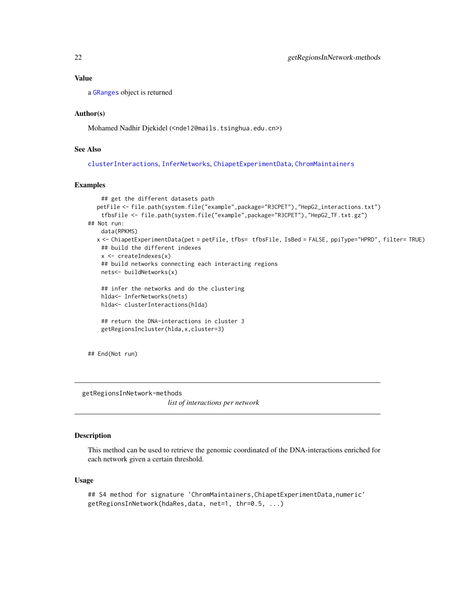<span id="page-21-0"></span>a [GRanges](#page-0-0) object is returned

### Author(s)

Mohamed Nadhir Djekidel (<nde12@mails.tsinghua.edu.cn>)

#### See Also

[clusterInteractions](#page-12-1), [InferNetworks](#page-26-1), [ChiapetExperimentData](#page-6-1), [ChromMaintainers](#page-9-1)

### **Examples**

```
## get the different datasets path
  petFile <- file.path(system.file("example",package="R3CPET"),"HepG2_interactions.txt")
    tfbsFile <- file.path(system.file("example",package="R3CPET"),"HepG2_TF.txt.gz")
## Not run:
   data(RPKMS)
  x <- ChiapetExperimentData(pet = petFile, tfbs= tfbsFile, IsBed = FALSE, ppiType="HPRD", filter= TRUE)
    ## build the different indexes
   x <- createIndexes(x)
   ## build networks connecting each interacting regions
   nets<- buildNetworks(x)
   ## infer the networks and do the clustering
   hlda<- InferNetworks(nets)
   hlda<- clusterInteractions(hlda)
    ## return the DNA-interactions in cluster 3
   getRegionsIncluster(hlda,x,cluster=3)
## End(Not run)
```
getRegionsInNetwork-methods *list of interactions per network*

#### Description

This method can be used to retrieve the genomic coordinated of the DNA-interactions enriched for each network given a certain threshold.

#### Usage

```
## S4 method for signature 'ChromMaintainers, ChiapetExperimentData, numeric'
getRegionsInNetwork(hdaRes,data, net=1, thr=0.5, ...)
```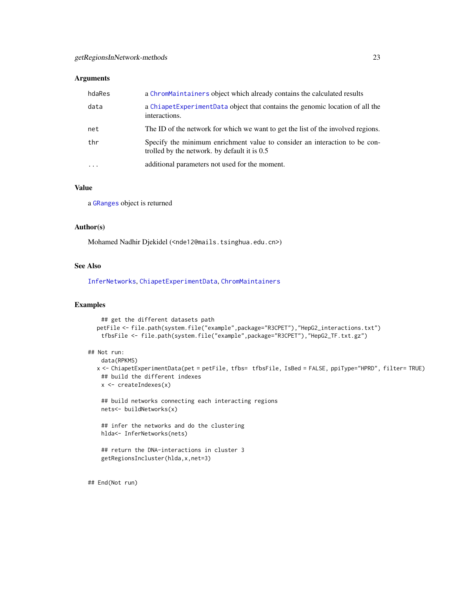#### <span id="page-22-0"></span>Arguments

| hdaRes     | a ChromMaintainers object which already contains the calculated results                                                    |
|------------|----------------------------------------------------------------------------------------------------------------------------|
| data       | a ChiapetExperimentData object that contains the genomic location of all the<br>interactions.                              |
| net        | The ID of the network for which we want to get the list of the involved regions.                                           |
| thr        | Specify the minimum enrichment value to consider an interaction to be con-<br>trolled by the network, by default it is 0.5 |
| $\ddots$ . | additional parameters not used for the moment.                                                                             |

### Value

a [GRanges](#page-0-0) object is returned

### Author(s)

Mohamed Nadhir Djekidel (<nde12@mails.tsinghua.edu.cn>)

### See Also

[InferNetworks](#page-26-1), [ChiapetExperimentData](#page-6-1), [ChromMaintainers](#page-9-1)

### Examples

```
## get the different datasets path
petFile <- file.path(system.file("example",package="R3CPET"),"HepG2_interactions.txt")
 tfbsFile <- file.path(system.file("example",package="R3CPET"),"HepG2_TF.txt.gz")
```
### ## Not run:

```
data(RPKMS)
```
x <- ChiapetExperimentData(pet = petFile, tfbs= tfbsFile, IsBed = FALSE, ppiType="HPRD", filter= TRUE) ## build the different indexes x <- createIndexes(x)

## build networks connecting each interacting regions nets<- buildNetworks(x)

## infer the networks and do the clustering hlda<- InferNetworks(nets)

```
## return the DNA-interactions in cluster 3
getRegionsIncluster(hlda,x,net=3)
```
## End(Not run)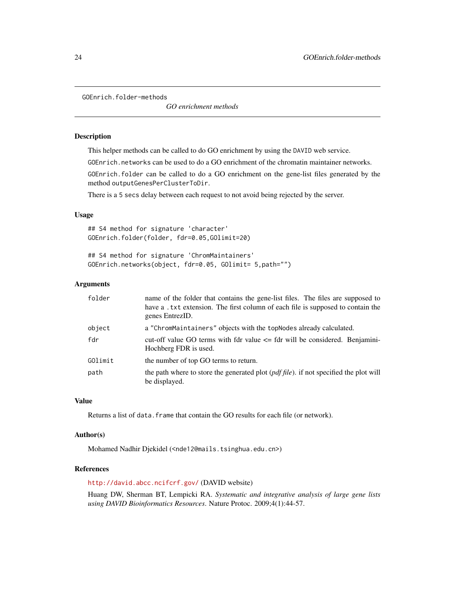<span id="page-23-0"></span>GOEnrich.folder-methods

*GO enrichment methods*

#### Description

This helper methods can be called to do GO enrichment by using the DAVID web service.

GOEnrich.networks can be used to do a GO enrichment of the chromatin maintainer networks.

GOEnrich.folder can be called to do a GO enrichment on the gene-list files generated by the method outputGenesPerClusterToDir.

There is a 5 secs delay between each request to not avoid being rejected by the server.

### Usage

## S4 method for signature 'character' GOEnrich.folder(folder, fdr=0.05,GOlimit=20)

## S4 method for signature 'ChromMaintainers' GOEnrich.networks(object, fdr=0.05, GOlimit= 5,path="")

#### Arguments

| folder  | name of the folder that contains the gene-list files. The files are supposed to<br>have a . txt extension. The first column of each file is supposed to contain the<br>genes EntrezID. |  |  |  |
|---------|----------------------------------------------------------------------------------------------------------------------------------------------------------------------------------------|--|--|--|
| object  | a "ChromMaintainers" objects with the topNodes already calculated.                                                                                                                     |  |  |  |
| fdr     | cut-off value GO terms with fdr value $\leq$ fdr will be considered. Benjamini-<br>Hochberg FDR is used.                                                                               |  |  |  |
| GOlimit | the number of top GO terms to return.                                                                                                                                                  |  |  |  |
| path    | the path where to store the generated plot ( <i>pdf file</i> ). if not specified the plot will<br>be displayed.                                                                        |  |  |  |

### Value

Returns a list of data. frame that contain the GO results for each file (or network).

### Author(s)

Mohamed Nadhir Djekidel (<nde12@mails.tsinghua.edu.cn>)

#### References

<http://david.abcc.ncifcrf.gov/> (DAVID website)

Huang DW, Sherman BT, Lempicki RA. *Systematic and integrative analysis of large gene lists using DAVID Bioinformatics Resources*. Nature Protoc. 2009;4(1):44-57.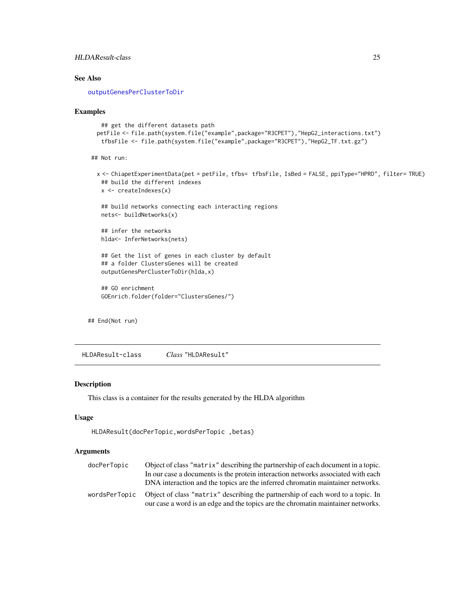### <span id="page-24-0"></span>HLDAResult-class 25

### See Also

[outputGenesPerClusterToDir](#page-34-1)

#### Examples

```
## get the different datasets path
 petFile <- file.path(system.file("example",package="R3CPET"),"HepG2_interactions.txt")
   tfbsFile <- file.path(system.file("example",package="R3CPET"),"HepG2_TF.txt.gz")
## Not run:
 x <- ChiapetExperimentData(pet = petFile, tfbs= tfbsFile, IsBed = FALSE, ppiType="HPRD", filter= TRUE)
  ## build the different indexes
  x \leftarrow \text{createIndexes}(x)## build networks connecting each interacting regions
  nets<- buildNetworks(x)
   ## infer the networks
  hlda<- InferNetworks(nets)
   ## Get the list of genes in each cluster by default
   ## a folder ClustersGenes will be created
   outputGenesPerClusterToDir(hlda,x)
```

```
## GO enrichment
GOEnrich.folder(folder="ClustersGenes/")
```
## End(Not run)

HLDAResult-class *Class* "HLDAResult"

### <span id="page-24-1"></span>Description

This class is a container for the results generated by the HLDA algorithm

#### Usage

```
HLDAResult(docPerTopic,wordsPerTopic ,betas)
```
#### **Arguments**

| docPerTopic | Object of class "matrix" describing the partnership of each document in a topic.              |
|-------------|-----------------------------------------------------------------------------------------------|
|             | In our case a documents is the protein interaction networks associated with each              |
|             | DNA interaction and the topics are the inferred chromatin maintainer networks.                |
|             | wordsPerTopic Object of class "matrix" describing the partnership of each word to a topic. In |
|             | our case a word is an edge and the topics are the chromatin maintainer networks.              |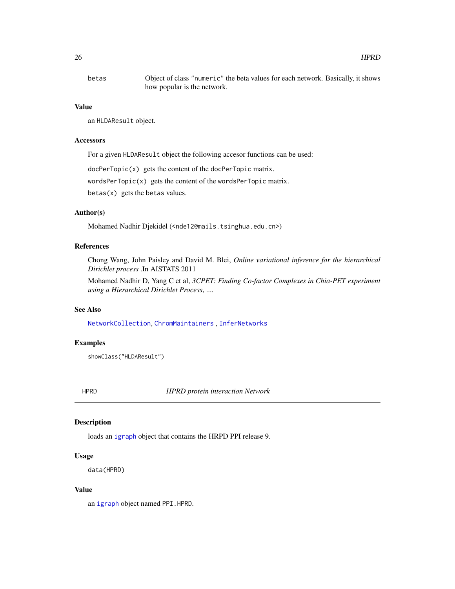<span id="page-25-0"></span>

| betas | Object of class "numeric" the beta values for each network. Basically, it shows |
|-------|---------------------------------------------------------------------------------|
|       | how popular is the network.                                                     |

### Value

an HLDAResult object.

#### **Accessors**

For a given HLDAResult object the following accesor functions can be used:

docPerTopic(x) gets the content of the docPerTopic matrix.

wordsPerTopic(x) gets the content of the wordsPerTopic matrix.

 $beta(x)$  gets the betas values.

### Author(s)

Mohamed Nadhir Djekidel (<nde12@mails.tsinghua.edu.cn>)

### References

Chong Wang, John Paisley and David M. Blei, *Online variational inference for the hierarchical Dirichlet process* .In AISTATS 2011

Mohamed Nadhir D, Yang C et al, *3CPET: Finding Co-factor Complexes in Chia-PET experiment using a Hierarchical Dirichlet Process*, ....

#### See Also

[NetworkCollection](#page-33-1), [ChromMaintainers](#page-9-1) , [InferNetworks](#page-26-1)

### Examples

showClass("HLDAResult")

HPRD *HPRD protein interaction Network*

### Description

loads an [igraph](#page-0-0) object that contains the HRPD PPI release 9.

### Usage

data(HPRD)

#### Value

an [igraph](#page-0-0) object named PPI.HPRD.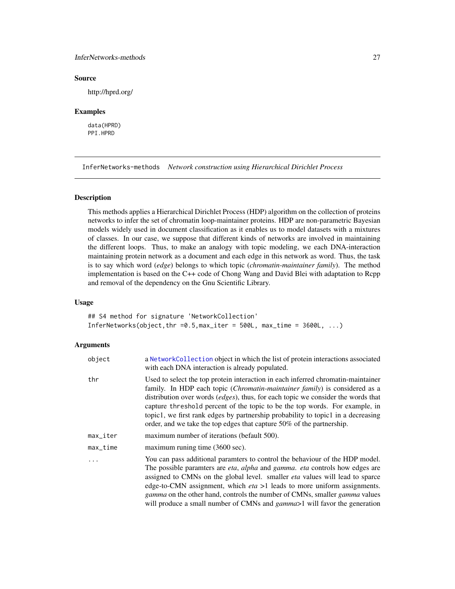### <span id="page-26-0"></span>InferNetworks-methods 27

### Source

http://hprd.org/

#### Examples

data(HPRD) PPI.HPRD

InferNetworks-methods *Network construction using Hierarchical Dirichlet Process*

#### <span id="page-26-1"></span>Description

This methods applies a Hierarchical Dirichlet Process (HDP) algorithm on the collection of proteins networks to infer the set of chromatin loop-maintainer proteins. HDP are non-parametric Bayesian models widely used in document classification as it enables us to model datasets with a mixtures of classes. In our case, we suppose that different kinds of networks are involved in maintaining the different loops. Thus, to make an analogy with topic modeling, we each DNA-interaction maintaining protein network as a document and each edge in this network as word. Thus, the task is to say which word (*edge*) belongs to which topic (*chromatin-maintainer family*). The method implementation is based on the C++ code of Chong Wang and David Blei with adaptation to Rcpp and removal of the dependency on the Gnu Scientific Library.

### Usage

## S4 method for signature 'NetworkCollection' InferNetworks(object,thr =0.5, max\_iter =  $500L$ , max\_time =  $3600L$ , ...)

### Arguments

| object                 | a NetworkCollection object in which the list of protein interactions associated<br>with each DNA interaction is already populated.                                                                                                                                                                                                                                                                                                                                                                                                                    |
|------------------------|-------------------------------------------------------------------------------------------------------------------------------------------------------------------------------------------------------------------------------------------------------------------------------------------------------------------------------------------------------------------------------------------------------------------------------------------------------------------------------------------------------------------------------------------------------|
| thr                    | Used to select the top protein interaction in each inferred chromatin-maintainer<br>family. In HDP each topic (Chromatin-maintainer family) is considered as a<br>distribution over words (edges), thus, for each topic we consider the words that<br>capture threshold percent of the topic to be the top words. For example, in<br>topic1, we first rank edges by partnership probability to topic1 in a decreasing<br>order, and we take the top edges that capture 50% of the partnership.                                                        |
| $max$ <sub>Liter</sub> | maximum number of iterations (befault 500).                                                                                                                                                                                                                                                                                                                                                                                                                                                                                                           |
| $max_time$             | maximum runing time (3600 sec).                                                                                                                                                                                                                                                                                                                                                                                                                                                                                                                       |
|                        | You can pass additional paramters to control the behaviour of the HDP model.<br>The possible paramters are <i>eta</i> , <i>alpha</i> and <i>gamma</i> . <i>eta</i> controls how edges are<br>assigned to CMNs on the global level. smaller <i>eta</i> values will lead to sparce<br>edge-to-CMN assignment, which <i>eta</i> $>1$ leads to more uniform assignments.<br><i>gamma</i> on the other hand, controls the number of CMNs, smaller <i>gamma</i> values<br>will produce a small number of CMNs and <i>gamma</i> >1 will favor the generation |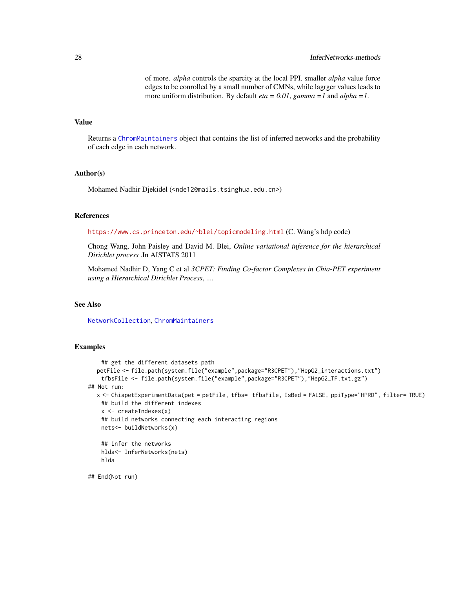of more. *alpha* controls the sparcity at the local PPI. smaller *alpha* value force edges to be conrolled by a small number of CMNs, while lagrger values leads to more uniform distribution. By default *eta = 0.01*, *gamma =1* and *alpha =1*.

### <span id="page-27-0"></span>Value

Returns a [ChromMaintainers](#page-9-1) object that contains the list of inferred networks and the probability of each edge in each network.

#### Author(s)

Mohamed Nadhir Djekidel (<nde12@mails.tsinghua.edu.cn>)

### References

<https://www.cs.princeton.edu/~blei/topicmodeling.html> (C. Wang's hdp code)

Chong Wang, John Paisley and David M. Blei, *Online variational inference for the hierarchical Dirichlet process* .In AISTATS 2011

Mohamed Nadhir D, Yang C et al *3CPET: Finding Co-factor Complexes in Chia-PET experiment using a Hierarchical Dirichlet Process*, ....

#### See Also

[NetworkCollection](#page-33-1), [ChromMaintainers](#page-9-1)

### Examples

```
## get the different datasets path
  petFile <- file.path(system.file("example",package="R3CPET"),"HepG2_interactions.txt")
   tfbsFile <- file.path(system.file("example",package="R3CPET"),"HepG2_TF.txt.gz")
## Not run:
  x <- ChiapetExperimentData(pet = petFile, tfbs= tfbsFile, IsBed = FALSE, ppiType="HPRD", filter= TRUE)
   ## build the different indexes
   x <- createIndexes(x)
   ## build networks connecting each interacting regions
   nets<- buildNetworks(x)
   ## infer the networks
   hlda<- InferNetworks(nets)
   hlda
## End(Not run)
```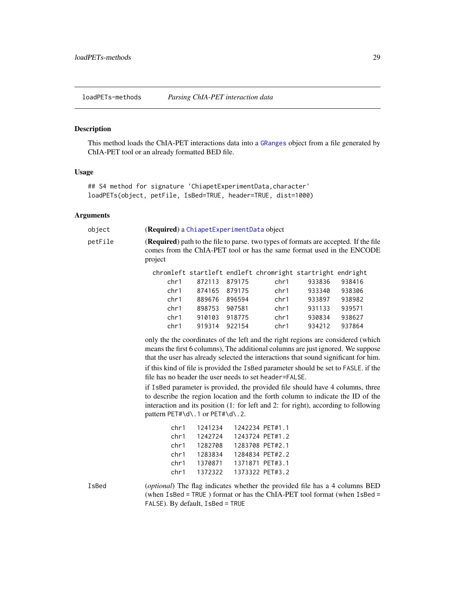<span id="page-28-0"></span>loadPETs-methods *Parsing ChIA-PET interaction data*

#### <span id="page-28-1"></span>Description

This method loads the ChIA-PET interactions data into a [GRanges](#page-0-0) object from a file generated by ChIA-PET tool or an already formatted BED file.

#### Usage

```
## S4 method for signature 'ChiapetExperimentData, character'
loadPETs(object, petFile, IsBed=TRUE, header=TRUE, dist=1000)
```
### Arguments

| obiect  | (Required) a ChiapetExperimentData object                                                                                                                                        |
|---------|----------------------------------------------------------------------------------------------------------------------------------------------------------------------------------|
| petFile | <b>(Required)</b> path to the file to parse, two types of formats are accepted. If the file<br>comes from the ChIA-PET tool or has the same format used in the ENCODE<br>project |

|      |        |        | chromleft startleft endleft chromright startright endright |        |        |
|------|--------|--------|------------------------------------------------------------|--------|--------|
| chr1 | 872113 | 879175 | chr1                                                       | 933836 | 938416 |
| chr1 | 874165 | 879175 | chr1                                                       | 933340 | 938306 |
| chr1 | 889676 | 896594 | chr1                                                       | 933897 | 938982 |
| chr1 | 898753 | 907581 | chr1                                                       | 931133 | 939571 |
| chr1 | 910103 | 918775 | chr1                                                       | 930834 | 938627 |
| chr1 | 919314 | 922154 | chr1                                                       | 934212 | 937864 |
|      |        |        |                                                            |        |        |

only the the coordinates of the left and the right regions are considered (which means the first 6 columns), The additional columns are just ignored. We suppose that the user has already selected the interactions that sound significant for him. if this kind of file is provided the IsBed parameter should be set to FASLE. if the file has no header the user needs to set header=FALSE.

if IsBed parameter is provided, the provided file should have 4 columns, three to describe the region location and the forth column to indicate the ID of the interaction and its position (1: for left and 2: for right), according to following pattern PET#\d\.1 or PET#\d\.2.

| chr1 | 1241234 | 1242234 PET#1.1 |                 |
|------|---------|-----------------|-----------------|
| chr1 | 1242724 |                 | 1243724 PET#1.2 |
| chr1 | 1282708 | 1283708 PET#2.1 |                 |
| chr1 | 1283834 |                 | 1284834 PET#2.2 |
| chr1 | 1370871 | 1371871 PET#3.1 |                 |
| chr1 | 1372322 |                 | 1373322 PET#3.2 |

IsBed (*optional*) The flag indicates whether the provided file has a 4 columns BED (when IsBed = TRUE ) format or has the ChIA-PET tool format (when IsBed = FALSE). By default, IsBed = TRUE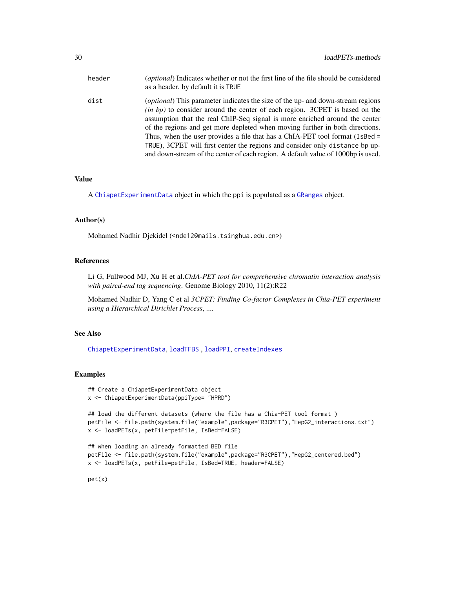<span id="page-29-0"></span>

| header | (optional) Indicates whether or not the first line of the file should be considered<br>as a header. by default it is TRUE                                                                                                                                                                                                                                                                                                                                                                                                                                                                  |
|--------|--------------------------------------------------------------------------------------------------------------------------------------------------------------------------------------------------------------------------------------------------------------------------------------------------------------------------------------------------------------------------------------------------------------------------------------------------------------------------------------------------------------------------------------------------------------------------------------------|
| dist   | <i>(optional)</i> This parameter indicates the size of the up- and down-stream regions<br>$(in bp)$ to consider around the center of each region. 3CPET is based on the<br>assumption that the real ChIP-Seq signal is more enriched around the center<br>of the regions and get more depleted when moving further in both directions.<br>Thus, when the user provides a file that has a ChIA-PET tool format (IsBed =<br>TRUE), 3CPET will first center the regions and consider only distance bp up-<br>and down-stream of the center of each region. A default value of 1000bp is used. |

### Value

A [ChiapetExperimentData](#page-6-1) object in which the ppi is populated as a [GRanges](#page-0-0) object.

### Author(s)

Mohamed Nadhir Djekidel (<nde12@mails.tsinghua.edu.cn>)

#### References

Li G, Fullwood MJ, Xu H et al.*ChIA-PET tool for comprehensive chromatin interaction analysis with paired-end tag sequencing*. Genome Biology 2010, 11(2):R22

Mohamed Nadhir D, Yang C et al *3CPET: Finding Co-factor Complexes in Chia-PET experiment using a Hierarchical Dirichlet Process*, ....

### See Also

[ChiapetExperimentData](#page-6-1), [loadTFBS](#page-32-1) , [loadPPI](#page-30-1), [createIndexes](#page-14-1)

#### Examples

```
## Create a ChiapetExperimentData object
x <- ChiapetExperimentData(ppiType= "HPRD")
```

```
## load the different datasets (where the file has a Chia-PET tool format )
petFile <- file.path(system.file("example",package="R3CPET"),"HepG2_interactions.txt")
x <- loadPETs(x, petFile=petFile, IsBed=FALSE)
```

```
## when loading an already formatted BED file
petFile <- file.path(system.file("example",package="R3CPET"),"HepG2_centered.bed")
x <- loadPETs(x, petFile=petFile, IsBed=TRUE, header=FALSE)
```
pet(x)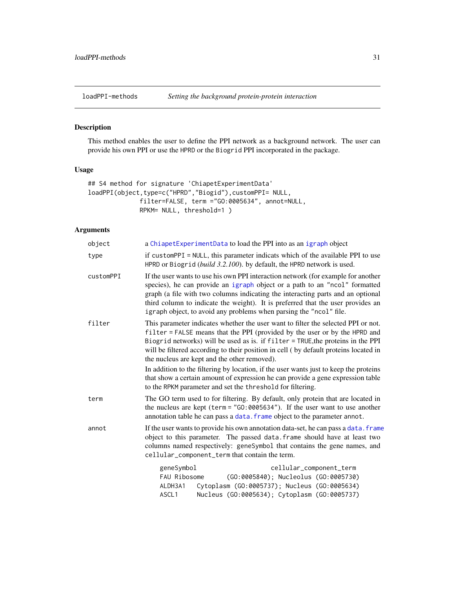<span id="page-30-1"></span><span id="page-30-0"></span>

This method enables the user to define the PPI network as a background network. The user can provide his own PPI or use the HPRD or the Biogrid PPI incorporated in the package.

### Usage

```
## S4 method for signature 'ChiapetExperimentData'
loadPPI(object,type=c("HPRD","Biogid"),customPPI= NULL,
              filter=FALSE, term ="GO:0005634", annot=NULL,
              RPKM= NULL, threshold=1 )
```
### Arguments

| object    | a ChiapetExperimentData to load the PPI into as an igraph object                                                                                                                                                                                                                                                                                                                                                                                                                                                                                                                                                                     |
|-----------|--------------------------------------------------------------------------------------------------------------------------------------------------------------------------------------------------------------------------------------------------------------------------------------------------------------------------------------------------------------------------------------------------------------------------------------------------------------------------------------------------------------------------------------------------------------------------------------------------------------------------------------|
| type      | if customPPI = NULL, this parameter indicats which of the available PPI to use<br>HPRD or Biogrid (build 3.2.100). by default, the HPRD network is used.                                                                                                                                                                                                                                                                                                                                                                                                                                                                             |
| customPPI | If the user wants to use his own PPI interaction network (for example for another<br>species), he can provide an igraph object or a path to an "ncol" formatted<br>graph (a file with two columns indicating the interacting parts and an optional<br>third column to indicate the weight). It is preferred that the user provides an<br>igraph object, to avoid any problems when parsing the "ncol" file.                                                                                                                                                                                                                          |
| filter    | This parameter indicates whether the user want to filter the selected PPI or not.<br>filter = FALSE means that the PPI (provided by the user or by the HPRD and<br>Biogrid networks) will be used as is. if filter = TRUE, the proteins in the PPI<br>will be filtered according to their position in cell (by default proteins located in<br>the nucleus are kept and the other removed).<br>In addition to the filtering by location, if the user wants just to keep the proteins<br>that show a certain amount of expression he can provide a gene expression table<br>to the RPKM parameter and set the threshold for filtering. |
| term      | The GO term used to for filtering. By default, only protein that are located in<br>the nucleus are kept (term = $"G0:0005634"$ ). If the user want to use another<br>annotation table he can pass a data. frame object to the parameter annot.                                                                                                                                                                                                                                                                                                                                                                                       |
| annot     | If the user wants to provide his own annotation data-set, he can pass a data. frame<br>object to this parameter. The passed data. frame should have at least two<br>columns named respectively: geneSymbol that contains the gene names, and<br>cellular_component_term that contain the term.                                                                                                                                                                                                                                                                                                                                       |
|           | cellular_component_term<br>geneSymbol<br>(GO:0005840); Nucleolus (GO:0005730)<br>FAU Ribosome<br>Cytoplasm (GO:0005737); Nucleus (GO:0005634)<br>ALDH3A1<br>Nucleus (GO:0005634); Cytoplasm (GO:0005737)<br>ASCL1                                                                                                                                                                                                                                                                                                                                                                                                                    |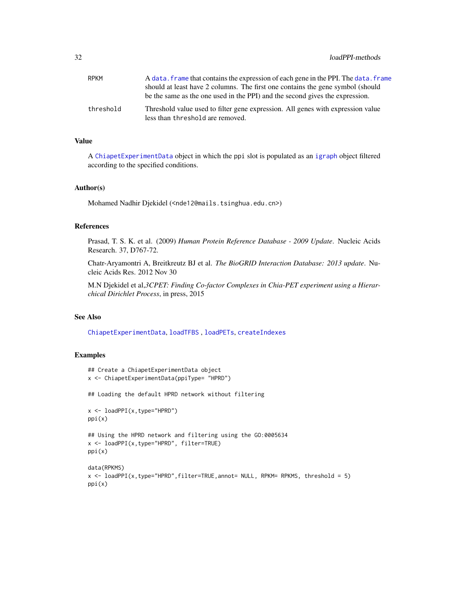<span id="page-31-0"></span>

| RPKM      | A data. frame that contains the expression of each gene in the PPI. The data. frame                                 |
|-----------|---------------------------------------------------------------------------------------------------------------------|
|           | should at least have 2 columns. The first one contains the gene symbol (should                                      |
|           | be the same as the one used in the PPI) and the second gives the expression.                                        |
| threshold | Threshold value used to filter gene expression. All genes with expression value<br>less than threshold are removed. |

### Value

A [ChiapetExperimentData](#page-6-1) object in which the ppi slot is populated as an [igraph](#page-0-0) object filtered according to the specified conditions.

#### Author(s)

Mohamed Nadhir Djekidel (<nde12@mails.tsinghua.edu.cn>)

### References

Prasad, T. S. K. et al. (2009) *Human Protein Reference Database - 2009 Update*. Nucleic Acids Research. 37, D767-72.

Chatr-Aryamontri A, Breitkreutz BJ et al. *The BioGRID Interaction Database: 2013 update*. Nucleic Acids Res. 2012 Nov 30

M.N Djekidel et al,*3CPET: Finding Co-factor Complexes in Chia-PET experiment using a Hierarchical Dirichlet Process*, in press, 2015

### See Also

[ChiapetExperimentData](#page-6-1), [loadTFBS](#page-32-1) , [loadPETs](#page-28-1), [createIndexes](#page-14-1)

#### Examples

```
## Create a ChiapetExperimentData object
x <- ChiapetExperimentData(ppiType= "HPRD")
## Loading the default HPRD network without filtering
x <- loadPPI(x,type="HPRD")
ppi(x)
## Using the HPRD network and filtering using the GO:0005634
x <- loadPPI(x,type="HPRD", filter=TRUE)
ppi(x)
data(RPKMS)
x <- loadPPI(x,type="HPRD",filter=TRUE,annot= NULL, RPKM= RPKMS, threshold = 5)
ppi(x)
```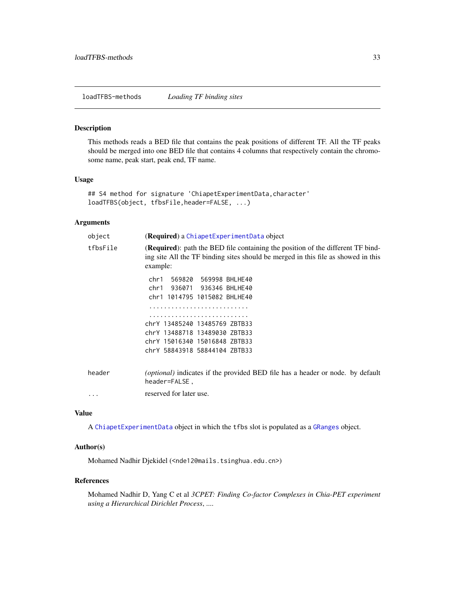<span id="page-32-1"></span><span id="page-32-0"></span>This methods reads a BED file that contains the peak positions of different TF. All the TF peaks should be merged into one BED file that contains 4 columns that respectively contain the chromosome name, peak start, peak end, TF name.

### Usage

```
## S4 method for signature 'ChiapetExperimentData, character'
loadTFBS(object, tfbsFile,header=FALSE, ...)
```
### Arguments

| object   | ( <b>Required</b> ) a ChiapetExperimentData object                                                                                                                               |
|----------|----------------------------------------------------------------------------------------------------------------------------------------------------------------------------------|
| tfbsFile | (Required): path the BED file containing the position of the different TF bind-<br>ing site All the TF binding sites should be merged in this file as showed in this<br>example: |
|          | 569820 569998 BHLHE40<br>chr1<br>chr1 936071 936346 BHLHE40<br>chr1 1014795 1015082 BHLHE40                                                                                      |
|          | chrY 13485240 13485769 ZBTB33<br>chrY 13488718 13489030 ZBTB33<br>chrY 15016340 15016848 ZBTB33<br>chrY 58843918 58844104 ZBTB33                                                 |
| header   | <i>(optional)</i> indicates if the provided BED file has a header or node. by default<br>header=FALSE,                                                                           |
| $\cdots$ | reserved for later use.                                                                                                                                                          |

### Value

A [ChiapetExperimentData](#page-6-1) object in which the tfbs slot is populated as a [GRanges](#page-0-0) object.

#### Author(s)

Mohamed Nadhir Djekidel (<nde12@mails.tsinghua.edu.cn>)

#### References

Mohamed Nadhir D, Yang C et al *3CPET: Finding Co-factor Complexes in Chia-PET experiment using a Hierarchical Dirichlet Process*, ....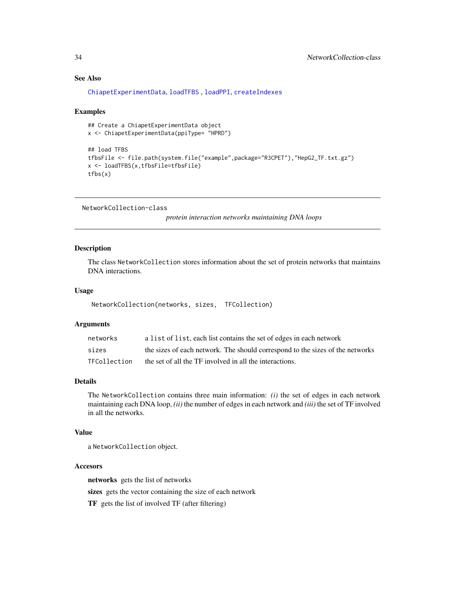### <span id="page-33-0"></span>See Also

```
ChiapetExperimentData, loadTFBS , loadPPI, createIndexes
```
#### Examples

```
## Create a ChiapetExperimentData object
x <- ChiapetExperimentData(ppiType= "HPRD")
## load TFBS
tfbsFile <- file.path(system.file("example",package="R3CPET"),"HepG2_TF.txt.gz")
x <- loadTFBS(x,tfbsFile=tfbsFile)
tfbs(x)
```
NetworkCollection-class

*protein interaction networks maintaining DNA loops*

#### <span id="page-33-1"></span>Description

The class NetworkCollection stores information about the set of protein networks that maintains DNA interactions.

### Usage

NetworkCollection(networks, sizes, TFCollection)

#### Arguments

| networks     | a list of list, each list contains the set of edges in each network           |
|--------------|-------------------------------------------------------------------------------|
| sizes        | the sizes of each network. The should correspond to the sizes of the networks |
| TFCollection | the set of all the TF involved in all the interactions.                       |

### Details

The NetworkCollection contains three main information: *(i)* the set of edges in each network maintaining each DNA loop, *(ii)* the number of edges in each network and *(iii)* the set of TF involved in all the networks.

### Value

a NetworkCollection object.

#### Accesors

networks gets the list of networks

sizes gets the vector containing the size of each network

TF gets the list of involved TF (after filtering)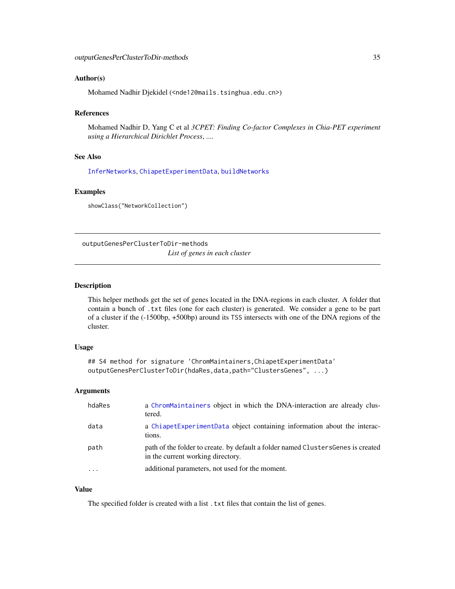### <span id="page-34-0"></span>Author(s)

Mohamed Nadhir Djekidel (<nde12@mails.tsinghua.edu.cn>)

#### References

Mohamed Nadhir D, Yang C et al *3CPET: Finding Co-factor Complexes in Chia-PET experiment using a Hierarchical Dirichlet Process*, ....

#### See Also

[InferNetworks](#page-26-1), [ChiapetExperimentData](#page-6-1), [buildNetworks](#page-4-1)

#### Examples

showClass("NetworkCollection")

outputGenesPerClusterToDir-methods *List of genes in each cluster*

### <span id="page-34-1"></span>Description

This helper methods get the set of genes located in the DNA-regions in each cluster. A folder that contain a bunch of .txt files (one for each cluster) is generated. We consider a gene to be part of a cluster if the (-1500bp, +500bp) around its TSS intersects with one of the DNA regions of the cluster.

### Usage

```
## S4 method for signature 'ChromMaintainers,ChiapetExperimentData'
outputGenesPerClusterToDir(hdaRes,data,path="ClustersGenes", ...)
```
#### Arguments

| hdaRes                  | a ChromMaintainers object in which the DNA-interaction are already clus-<br>tered.                                     |
|-------------------------|------------------------------------------------------------------------------------------------------------------------|
| data                    | a ChiapetExperimentData object containing information about the interac-<br>tions.                                     |
| path                    | path of the folder to create. by default a folder named Clusters Genes is created<br>in the current working directory. |
| $\cdot$ $\cdot$ $\cdot$ | additional parameters, not used for the moment.                                                                        |

### Value

The specified folder is created with a list . txt files that contain the list of genes.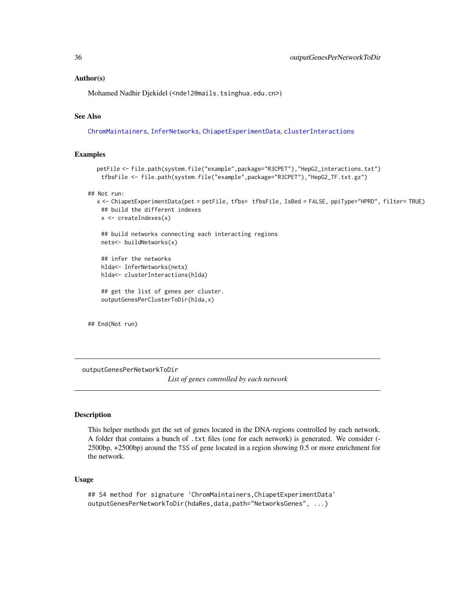### <span id="page-35-0"></span>Author(s)

Mohamed Nadhir Djekidel (<nde12@mails.tsinghua.edu.cn>)

### See Also

[ChromMaintainers](#page-9-1), [InferNetworks](#page-26-1), [ChiapetExperimentData](#page-6-1), [clusterInteractions](#page-12-1)

#### Examples

```
petFile <- file.path(system.file("example",package="R3CPET"),"HepG2_interactions.txt")
 tfbsFile <- file.path(system.file("example",package="R3CPET"),"HepG2_TF.txt.gz")
```
## Not run:

```
x <- ChiapetExperimentData(pet = petFile, tfbs= tfbsFile, IsBed = FALSE, ppiType="HPRD", filter= TRUE)
 ## build the different indexes
 x <- createIndexes(x)
```

```
## build networks connecting each interacting regions
nets<- buildNetworks(x)
```

```
## infer the networks
hlda<- InferNetworks(nets)
hlda<- clusterInteractions(hlda)
```

```
## get the list of genes per cluster.
outputGenesPerClusterToDir(hlda,x)
```

```
## End(Not run)
```
outputGenesPerNetworkToDir *List of genes controlled by each network*

### Description

This helper methods get the set of genes located in the DNA-regions controlled by each network. A folder that contains a bunch of .txt files (one for each network) is generated. We consider (- 2500bp, +2500bp) around the TSS of gene located in a region showing 0.5 or more enrichment for the network.

#### Usage

```
## S4 method for signature 'ChromMaintainers, ChiapetExperimentData'
outputGenesPerNetworkToDir(hdaRes,data,path="NetworksGenes", ...)
```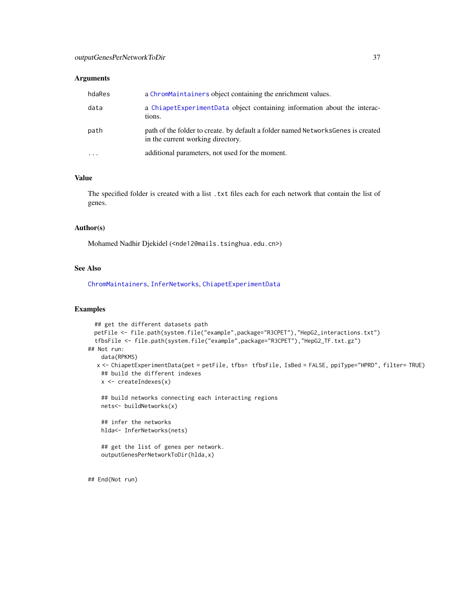#### <span id="page-36-0"></span>**Arguments**

| hdaRes    | a ChromMaintainers object containing the enrichment values.                                                            |
|-----------|------------------------------------------------------------------------------------------------------------------------|
| data      | a ChiapetExperimentData object containing information about the interac-<br>tions.                                     |
| path      | path of the folder to create. by default a folder named Networks Genes is created<br>in the current working directory. |
| $\ddotsc$ | additional parameters, not used for the moment.                                                                        |

### Value

The specified folder is created with a list . txt files each for each network that contain the list of genes.

#### Author(s)

Mohamed Nadhir Djekidel (<nde12@mails.tsinghua.edu.cn>)

### See Also

[ChromMaintainers](#page-9-1), [InferNetworks](#page-26-1), [ChiapetExperimentData](#page-6-1)

### Examples

```
## get the different datasets path
 petFile <- file.path(system.file("example",package="R3CPET"),"HepG2_interactions.txt")
 tfbsFile <- file.path(system.file("example",package="R3CPET"),"HepG2_TF.txt.gz")
## Not run:
   data(RPKMS)
  x <- ChiapetExperimentData(pet = petFile, tfbs= tfbsFile, IsBed = FALSE, ppiType="HPRD", filter= TRUE)
   ## build the different indexes
   x <- createIndexes(x)
   ## build networks connecting each interacting regions
   nets<- buildNetworks(x)
    ## infer the networks
   hlda<- InferNetworks(nets)
    ## get the list of genes per network.
   outputGenesPerNetworkToDir(hlda,x)
## End(Not run)
```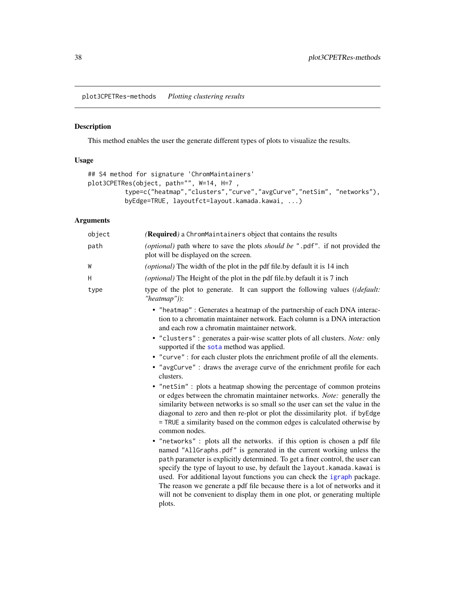<span id="page-37-0"></span>plot3CPETRes-methods *Plotting clustering results*

### Description

This method enables the user the generate different types of plots to visualize the results.

### Usage

```
## S4 method for signature 'ChromMaintainers'
plot3CPETRes(object, path="", W=14, H=7 ,
          type=c("heatmap","clusters","curve","avgCurve","netSim", "networks"),
          byEdge=TRUE, layoutfct=layout.kamada.kawai, ...)
```
### Arguments

| object | (Required) a ChromMaintainers object that contains the results                                                                                                                                                                                                                                                                                                                                                                                                                                                                                                      |
|--------|---------------------------------------------------------------------------------------------------------------------------------------------------------------------------------------------------------------------------------------------------------------------------------------------------------------------------------------------------------------------------------------------------------------------------------------------------------------------------------------------------------------------------------------------------------------------|
| path   | (optional) path where to save the plots should be ".pdf". if not provided the<br>plot will be displayed on the screen.                                                                                                                                                                                                                                                                                                                                                                                                                                              |
| W      | (optional) The width of the plot in the pdf file.by default it is 14 inch                                                                                                                                                                                                                                                                                                                                                                                                                                                                                           |
| H      | ( <i>optional</i> ) The Height of the plot in the pdf file.by default it is 7 inch                                                                                                                                                                                                                                                                                                                                                                                                                                                                                  |
| type   | type of the plot to generate. It can support the following values ((default:<br>"heatmap")):                                                                                                                                                                                                                                                                                                                                                                                                                                                                        |
|        | • "heatmap": Generates a heatmap of the partnership of each DNA interac-<br>tion to a chromatin maintainer network. Each column is a DNA interaction<br>and each row a chromatin maintainer network.                                                                                                                                                                                                                                                                                                                                                                |
|        | • "clusters" : generates a pair-wise scatter plots of all clusters. Note: only<br>supported if the sota method was applied.                                                                                                                                                                                                                                                                                                                                                                                                                                         |
|        | • "curve" : for each cluster plots the enrichment profile of all the elements.<br>• "avgCurve" : draws the average curve of the enrichment profile for each<br>clusters.                                                                                                                                                                                                                                                                                                                                                                                            |
|        | • "netSim" : plots a heatmap showing the percentage of common proteins<br>or edges between the chromatin maintainer networks. Note: generally the<br>similarity between networks is so small so the user can set the value in the<br>diagonal to zero and then re-plot or plot the dissimilarity plot. if byEdge<br>= TRUE a similarity based on the common edges is calculated otherwise by<br>common nodes.                                                                                                                                                       |
|        | • "networks" : plots all the networks. if this option is chosen a pdf file<br>named "AllGraphs.pdf" is generated in the current working unless the<br>path parameter is explicitly determined. To get a finer control, the user can<br>specify the type of layout to use, by default the layout. kamada. kawai is<br>used. For additional layout functions you can check the igraph package.<br>The reason we generate a pdf file because there is a lot of networks and it<br>will not be convenient to display them in one plot, or generating multiple<br>plots. |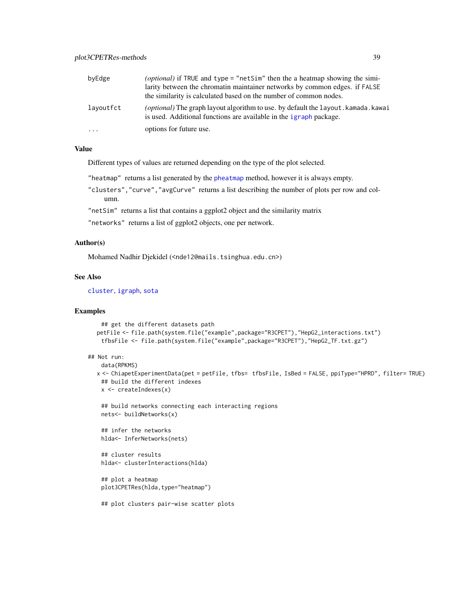<span id="page-38-0"></span>

| byEdge     | ( <i>optional</i> ) if TRUE and type = "netSim" then the a heatmap showing the simi-                                                                                   |
|------------|------------------------------------------------------------------------------------------------------------------------------------------------------------------------|
|            | larity between the chromatin maintainer networks by common edges. if FALSE                                                                                             |
|            | the similarity is calculated based on the number of common nodes.                                                                                                      |
| layoutfct  | <i>(optional)</i> The graph layout algorithm to use, by default the layout, kamada, kawai<br>is used. Additional functions are available in the <i>igraph</i> package. |
| $\ddots$ . | options for future use.                                                                                                                                                |

### Value

Different types of values are returned depending on the type of the plot selected.

"heatmap" returns a list generated by the [pheatmap](#page-0-0) method, however it is always empty.

"clusters","curve","avgCurve" returns a list describing the number of plots per row and column.

"netSim" returns a list that contains a ggplot2 object and the similarity matrix

"networks" returns a list of ggplot2 objects, one per network.

### Author(s)

Mohamed Nadhir Djekidel (<nde12@mails.tsinghua.edu.cn>)

#### See Also

[cluster](#page-0-0), [igraph](#page-0-0), [sota](#page-0-0)

### Examples

```
## get the different datasets path
  petFile <- file.path(system.file("example",package="R3CPET"),"HepG2_interactions.txt")
    tfbsFile <- file.path(system.file("example",package="R3CPET"),"HepG2_TF.txt.gz")
## Not run:
```

```
data(RPKMS)
```

```
x <- ChiapetExperimentData(pet = petFile, tfbs= tfbsFile, IsBed = FALSE, ppiType="HPRD", filter= TRUE)
 ## build the different indexes
 x <- createIndexes(x)
```

```
## build networks connecting each interacting regions
nets<- buildNetworks(x)
```
## infer the networks hlda<- InferNetworks(nets)

```
## cluster results
hlda<- clusterInteractions(hlda)
```
## plot a heatmap plot3CPETRes(hlda,type="heatmap")

## plot clusters pair-wise scatter plots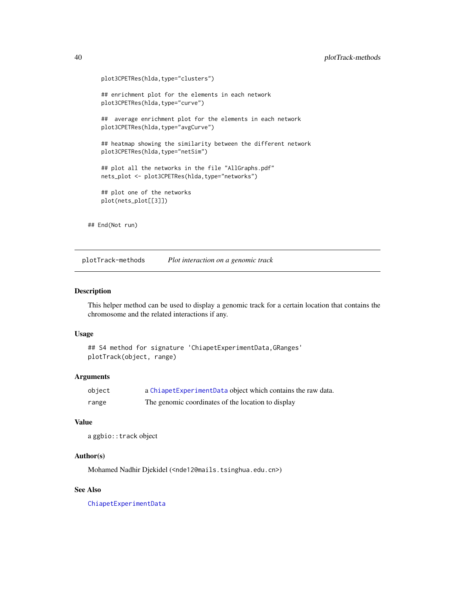```
plot3CPETRes(hlda,type="clusters")
## enrichment plot for the elements in each network
plot3CPETRes(hlda,type="curve")
## average enrichment plot for the elements in each network
plot3CPETRes(hlda,type="avgCurve")
## heatmap showing the similarity between the different network
plot3CPETRes(hlda,type="netSim")
## plot all the networks in the file "AllGraphs.pdf"
nets_plot <- plot3CPETRes(hlda,type="networks")
## plot one of the networks
plot(nets_plot[[3]])
```
## End(Not run)

plotTrack-methods *Plot interaction on a genomic track*

### Description

This helper method can be used to display a genomic track for a certain location that contains the chromosome and the related interactions if any.

#### Usage

```
## S4 method for signature 'ChiapetExperimentData, GRanges'
plotTrack(object, range)
```
#### **Arguments**

| object | a ChiapetExperimentData object which contains the raw data. |
|--------|-------------------------------------------------------------|
| range  | The genomic coordinates of the location to display          |

#### Value

a ggbio::track object

### Author(s)

Mohamed Nadhir Djekidel (<nde12@mails.tsinghua.edu.cn>)

### See Also

[ChiapetExperimentData](#page-6-1)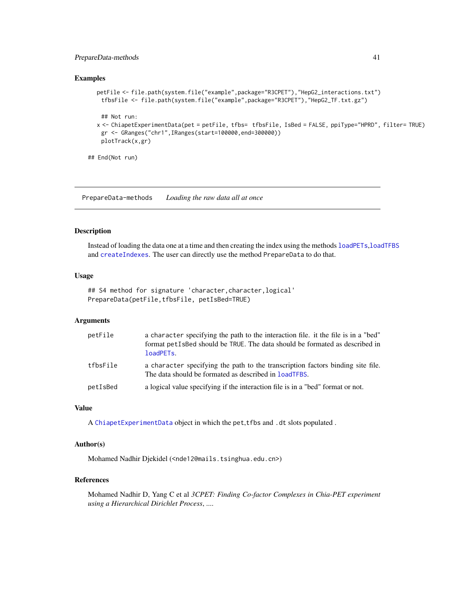### <span id="page-40-0"></span>PrepareData-methods 41

#### Examples

```
petFile <- file.path(system.file("example",package="R3CPET"),"HepG2_interactions.txt")
   tfbsFile <- file.path(system.file("example",package="R3CPET"),"HepG2_TF.txt.gz")
   ## Not run:
  x <- ChiapetExperimentData(pet = petFile, tfbs= tfbsFile, IsBed = FALSE, ppiType="HPRD", filter= TRUE)
   gr <- GRanges("chr1",IRanges(start=100000,end=300000))
   plotTrack(x,gr)
## End(Not run)
```
PrepareData-methods *Loading the raw data all at once*

#### Description

Instead of loading the data one at a time and then creating the index using the methods [loadPETs](#page-28-1),[loadTFBS](#page-32-1) and [createIndexes](#page-14-1). The user can directly use the method PrepareData to do that.

#### Usage

```
## S4 method for signature 'character, character, logical'
PrepareData(petFile,tfbsFile, petIsBed=TRUE)
```
#### **Arguments**

| petFile  | a character specifying the path to the interaction file. it the file is in a "bed"<br>format pet IsBed should be TRUE. The data should be formated as described in<br>loadPETs. |
|----------|---------------------------------------------------------------------------------------------------------------------------------------------------------------------------------|
| tfbsFile | a character specifying the path to the transcription factors binding site file.<br>The data should be formated as described in <b>loadTFBS</b> .                                |
| petIsBed | a logical value specifying if the interaction file is in a "bed" format or not.                                                                                                 |

### Value

A [ChiapetExperimentData](#page-6-1) object in which the pet,tfbs and .dt slots populated .

#### Author(s)

Mohamed Nadhir Djekidel (<nde12@mails.tsinghua.edu.cn>)

### References

Mohamed Nadhir D, Yang C et al *3CPET: Finding Co-factor Complexes in Chia-PET experiment using a Hierarchical Dirichlet Process*, ....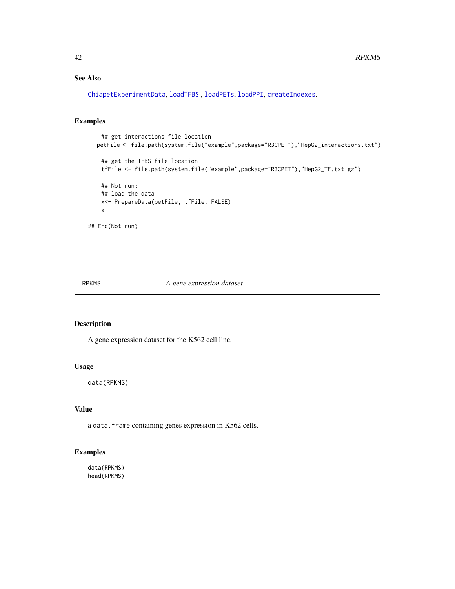## <span id="page-41-0"></span>See Also

```
ChiapetExperimentData, loadTFBS , loadPETs, loadPPI, createIndexes.
```
### Examples

```
## get interactions file location
  petFile <- file.path(system.file("example",package="R3CPET"),"HepG2_interactions.txt")
    ## get the TFBS file location
   tfFile <- file.path(system.file("example",package="R3CPET"),"HepG2_TF.txt.gz")
   ## Not run:
   ## load the data
   x<- PrepareData(petFile, tfFile, FALSE)
   x
## End(Not run)
```
<span id="page-41-1"></span>RPKMS *A gene expression dataset*

### Description

A gene expression dataset for the K562 cell line.

### Usage

data(RPKMS)

### Value

a data.frame containing genes expression in K562 cells.

### Examples

data(RPKMS) head(RPKMS)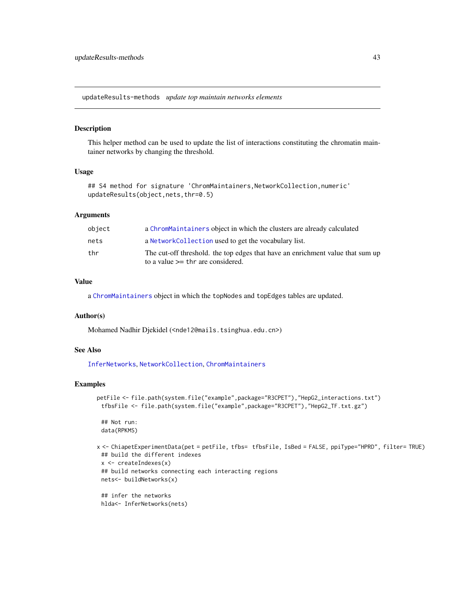<span id="page-42-0"></span>updateResults-methods *update top maintain networks elements*

#### Description

This helper method can be used to update the list of interactions constituting the chromatin maintainer networks by changing the threshold.

### Usage

```
## S4 method for signature 'ChromMaintainers, NetworkCollection, numeric'
updateResults(object,nets,thr=0.5)
```
### **Arguments**

| object | a ChromMaintainers object in which the clusters are already calculated                                                  |
|--------|-------------------------------------------------------------------------------------------------------------------------|
| nets   | a Network Collection used to get the vocabulary list.                                                                   |
| thr    | The cut-off threshold, the top edges that have an enrichment value that sum up<br>to a value $\geq$ the are considered. |

### Value

a [ChromMaintainers](#page-9-1) object in which the topNodes and topEdges tables are updated.

#### Author(s)

Mohamed Nadhir Djekidel (<nde12@mails.tsinghua.edu.cn>)

### See Also

[InferNetworks](#page-26-1), [NetworkCollection](#page-33-1), [ChromMaintainers](#page-9-1)

### Examples

```
petFile <- file.path(system.file("example",package="R3CPET"),"HepG2_interactions.txt")
 tfbsFile <- file.path(system.file("example",package="R3CPET"),"HepG2_TF.txt.gz")
```
## Not run: data(RPKMS)

x <- ChiapetExperimentData(pet = petFile, tfbs= tfbsFile, IsBed = FALSE, ppiType="HPRD", filter= TRUE) ## build the different indexes x <- createIndexes(x) ## build networks connecting each interacting regions nets<- buildNetworks(x) ## infer the networks

hlda<- InferNetworks(nets)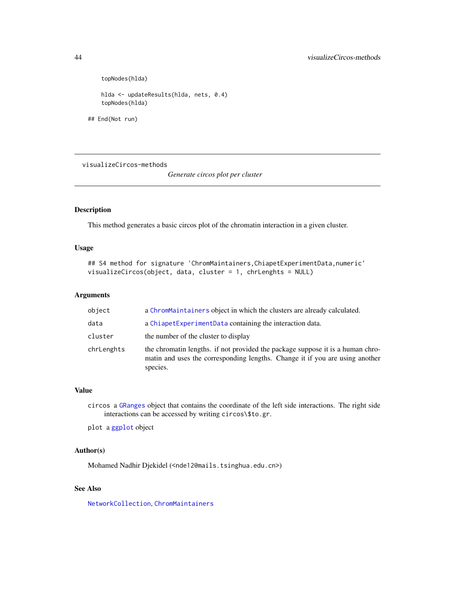```
topNodes(hlda)
hlda <- updateResults(hlda, nets, 0.4)
topNodes(hlda)
```
## End(Not run)

visualizeCircos-methods

*Generate circos plot per cluster*

### Description

This method generates a basic circos plot of the chromatin interaction in a given cluster.

### Usage

```
## S4 method for signature 'ChromMaintainers, ChiapetExperimentData, numeric'
visualizeCircos(object, data, cluster = 1, chrLenghts = NULL)
```
### Arguments

| object     | a Chrommaintainers object in which the clusters are already calculated.                                                                                                    |
|------------|----------------------------------------------------------------------------------------------------------------------------------------------------------------------------|
| data       | a ChiapetExperimentData containing the interaction data.                                                                                                                   |
| cluster    | the number of the cluster to display                                                                                                                                       |
| chrLenghts | the chromatin lengths, if not provided the package suppose it is a human chro-<br>matin and uses the corresponding lengths. Change it if you are using another<br>species. |

#### Value

circos a [GRanges](#page-0-0) object that contains the coordinate of the left side interactions. The right side interactions can be accessed by writing circos\\$to.gr.

plot a [ggplot](#page-0-0) object

### Author(s)

Mohamed Nadhir Djekidel (<nde12@mails.tsinghua.edu.cn>)

### See Also

[NetworkCollection](#page-33-1), [ChromMaintainers](#page-9-1)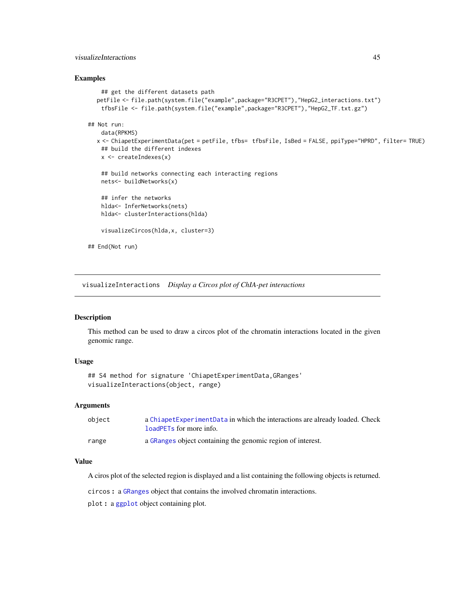### <span id="page-44-0"></span>visualizeInteractions 45

### Examples

```
## get the different datasets path
  petFile <- file.path(system.file("example",package="R3CPET"),"HepG2_interactions.txt")
   tfbsFile <- file.path(system.file("example",package="R3CPET"),"HepG2_TF.txt.gz")
## Not run:
   data(RPKMS)
  x <- ChiapetExperimentData(pet = petFile, tfbs= tfbsFile, IsBed = FALSE, ppiType="HPRD", filter= TRUE)
   ## build the different indexes
   x <- createIndexes(x)
   ## build networks connecting each interacting regions
   nets<- buildNetworks(x)
   ## infer the networks
   hlda<- InferNetworks(nets)
   hlda<- clusterInteractions(hlda)
   visualizeCircos(hlda,x, cluster=3)
## End(Not run)
```
visualizeInteractions *Display a Circos plot of ChIA-pet interactions*

### Description

This method can be used to draw a circos plot of the chromatin interactions located in the given genomic range.

### Usage

```
## S4 method for signature 'ChiapetExperimentData, GRanges'
visualizeInteractions(object, range)
```
### Arguments

| object | a ChiapetExperimentData in which the interactions are already loaded. Check |
|--------|-----------------------------------------------------------------------------|
|        | loadPETs for more info.                                                     |
| range  | a GRanges object containing the genomic region of interest.                 |

### Value

A ciros plot of the selected region is displayed and a list containing the following objects is returned.

circos : a [GRanges](#page-0-0) object that contains the involved chromatin interactions.

plot : a [ggplot](#page-0-0) object containing plot.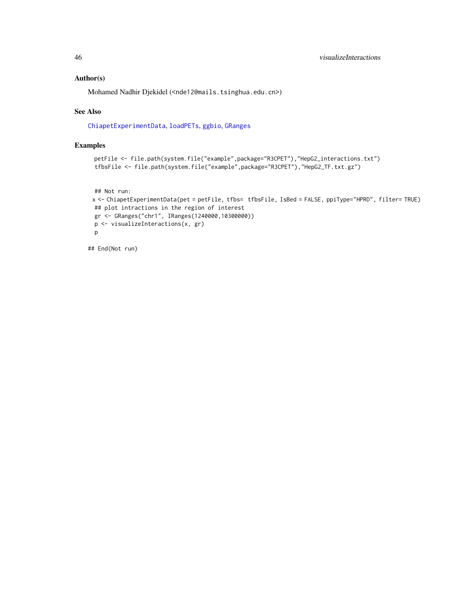### <span id="page-45-0"></span>Author(s)

Mohamed Nadhir Djekidel (<nde12@mails.tsinghua.edu.cn>)

### See Also

[ChiapetExperimentData](#page-6-1), [loadPETs](#page-28-1), [ggbio](#page-0-0), [GRanges](#page-0-0)

### Examples

```
petFile <- file.path(system.file("example",package="R3CPET"),"HepG2_interactions.txt")
tfbsFile <- file.path(system.file("example",package="R3CPET"),"HepG2_TF.txt.gz")
```

```
## Not run:
x <- ChiapetExperimentData(pet = petFile, tfbs= tfbsFile, IsBed = FALSE, ppiType="HPRD", filter= TRUE)
## plot intractions in the region of interest
gr <- GRanges("chr1", IRanges(1240000,10300000))
p <- visualizeInteractions(x, gr)
p
```
## End(Not run)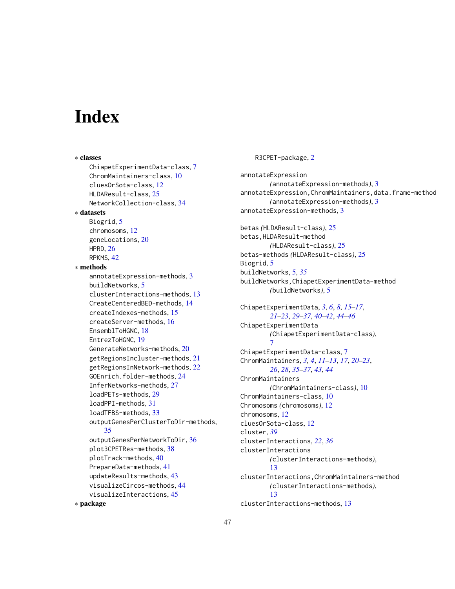# <span id="page-46-0"></span>**Index**

```
∗ classes
    ChiapetExperimentData-class, 7
    ChromMaintainers-class, 10
    cluesOrSota-class, 12
    HLDAResult-class, 25
    NetworkCollection-class, 34
∗ datasets
    Biogrid, 5
    chromosoms, 12
    geneLocations, 20
    HPRD, 26
    RPKMS, 42
∗ methods
    annotateExpression-methods, 3
    buildNetworks, 5
    clusterInteractions-methods, 13
    CreateCenteredBED-methods, 14
    createIndexes-methods, 15
    createServer-methods, 16
    EnsemblToHGNC, 18
    EntrezToHGNC, 19
    GenerateNetworks-methods, 20
    getRegionsIncluster-methods, 21
    getRegionsInNetwork-methods, 22
    GOEnrich.folder-methods, 24
    InferNetworks-methods, 27
    loadPETs-methods, 29
    loadPPI-methods, 31
    loadTFBS-methods, 33
    outputGenesPerClusterToDir-methods,
        35
    outputGenesPerNetworkToDir, 36
    plot3CPETRes-methods, 38
    plotTrack-methods, 40
    PrepareData-methods, 41
    updateResults-methods, 43
    visualizeCircos-methods, 44
    visualizeInteractions, 45
∗ package
```
### R3CPET-package, [2](#page-1-0)

```
annotateExpression
        (annotateExpression-methods), 3
annotateExpression,ChromMaintainers,data.frame-method
        (annotateExpression-methods), 3
annotateExpression-methods, 3
betas (HLDAResult-class), 25
betas,HLDAResult-method
        (HLDAResult-class), 25
betas-methods (HLDAResult-class), 25
Biogrid, 5
buildNetworks, 5, 35
buildNetworks,ChiapetExperimentData-method
        (buildNetworks), 5
ChiapetExperimentData, 3, 6, 8, 15–17,
        21–23, 29–37, 40–42, 44–46
ChiapetExperimentData
        (ChiapetExperimentData-class),
        7
ChiapetExperimentData-class, 7
ChromMaintainers, 3, 4, 11–13, 17, 20–23,
        26, 28, 35–37, 43, 44
ChromMaintainers
        (ChromMaintainers-class), 10
ChromMaintainers-class, 10
Chromosoms (chromosoms), 12
chromosoms, 12
cluesOrSota-class, 12
cluster, 39
clusterInteractions, 22, 36
clusterInteractions
        (clusterInteractions-methods),
        13
clusterInteractions,ChromMaintainers-method
        (clusterInteractions-methods),
        13
clusterInteractions-methods, 13
```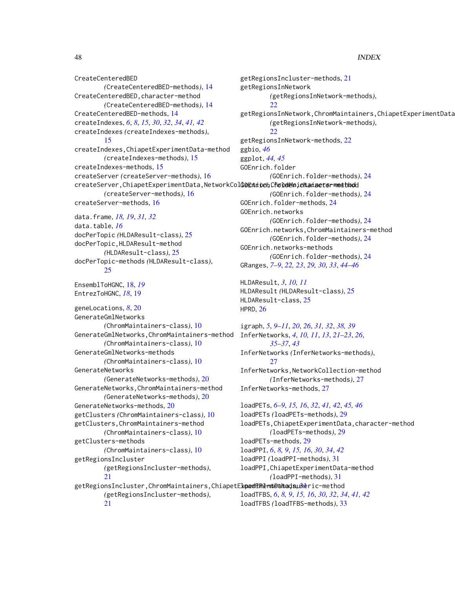### 48 INDEX

CreateCenteredBED *(*CreateCenteredBED-methods*)*, [14](#page-13-0) CreateCenteredBED,character-method *(*CreateCenteredBED-methods*)*, [14](#page-13-0) CreateCenteredBED-methods, [14](#page-13-0) createIndexes, *[6](#page-5-0)*, *[8](#page-7-0)*, *[15](#page-14-0)*, *[30](#page-29-0)*, *[32](#page-31-0)*, *[34](#page-33-0)*, *[41,](#page-40-0) [42](#page-41-0)* createIndexes *(*createIndexes-methods*)*, [15](#page-14-0) createIndexes,ChiapetExperimentData-method *(*createIndexes-methods*)*, [15](#page-14-0) createIndexes-methods, [15](#page-14-0) createServer *(*createServer-methods*)*, [16](#page-15-0) createServer,ChiapetExperimentData,NetworkCol**G@Endiod,ChoddMaidhtadaets-method**d *(*createServer-methods*)*, [16](#page-15-0) createServer-methods, [16](#page-15-0) data.frame, *[18,](#page-17-0) [19](#page-18-0)*, *[31,](#page-30-0) [32](#page-31-0)* data.table, *[16](#page-15-0)* docPerTopic *(*HLDAResult-class*)*, [25](#page-24-0) docPerTopic,HLDAResult-method *(*HLDAResult-class*)*, [25](#page-24-0) docPerTopic-methods *(*HLDAResult-class*)*, [25](#page-24-0) EnsemblToHGNC, [18,](#page-17-0) *[19](#page-18-0)* EntrezToHGNC, *[18](#page-17-0)*, [19](#page-18-0) geneLocations, *[8](#page-7-0)*, [20](#page-19-0) GenerateGmlNetworks *(*ChromMaintainers-class*)*, [10](#page-9-0) GenerateGmlNetworks,ChromMaintainers-method *(*ChromMaintainers-class*)*, [10](#page-9-0) GenerateGmlNetworks-methods *(*ChromMaintainers-class*)*, [10](#page-9-0) GenerateNetworks *(*GenerateNetworks-methods*)*, [20](#page-19-0) GenerateNetworks,ChromMaintainers-method *(*GenerateNetworks-methods*)*, [20](#page-19-0) GenerateNetworks-methods, [20](#page-19-0) getClusters *(*ChromMaintainers-class*)*, [10](#page-9-0) getClusters,ChromMaintainers-method *(*ChromMaintainers-class*)*, [10](#page-9-0) getClusters-methods

[21](#page-20-0)

[21](#page-20-0)

getRegionsIncluster-methods, [21](#page-20-0) getRegionsInNetwork *(*getRegionsInNetwork-methods*)*,  $22$ getRegionsInNetwork,ChromMaintainers,ChiapetExperimentData *(*getRegionsInNetwork-methods*)*, [22](#page-21-0) getRegionsInNetwork-methods, [22](#page-21-0) ggbio, *[46](#page-45-0)* ggplot, *[44,](#page-43-0) [45](#page-44-0)* GOEnrich.folder *(*GOEnrich.folder-methods*)*, [24](#page-23-0) *(*GOEnrich.folder-methods*)*, [24](#page-23-0) GOEnrich.folder-methods, [24](#page-23-0) GOEnrich.networks *(*GOEnrich.folder-methods*)*, [24](#page-23-0) GOEnrich.networks,ChromMaintainers-method *(*GOEnrich.folder-methods*)*, [24](#page-23-0) GOEnrich.networks-methods *(*GOEnrich.folder-methods*)*, [24](#page-23-0) GRanges, *[7](#page-6-0)[–9](#page-8-0)*, *[22,](#page-21-0) [23](#page-22-0)*, *[29,](#page-28-0) [30](#page-29-0)*, *[33](#page-32-0)*, *[44](#page-43-0)[–46](#page-45-0)* HLDAResult, *[3](#page-2-0)*, *[10,](#page-9-0) [11](#page-10-0)* HLDAResult *(*HLDAResult-class*)*, [25](#page-24-0) HLDAResult-class, [25](#page-24-0) HPRD, [26](#page-25-0) igraph, *[5](#page-4-0)*, *[9](#page-8-0)[–11](#page-10-0)*, *[20](#page-19-0)*, *[26](#page-25-0)*, *[31,](#page-30-0) [32](#page-31-0)*, *[38,](#page-37-0) [39](#page-38-0)* InferNetworks, *[4](#page-3-0)*, *[10,](#page-9-0) [11](#page-10-0)*, *[13](#page-12-0)*, *[21](#page-20-0)[–23](#page-22-0)*, *[26](#page-25-0)*, *[35](#page-34-0)[–37](#page-36-0)*, *[43](#page-42-0)* InferNetworks *(*InferNetworks-methods*)*, [27](#page-26-0) InferNetworks,NetworkCollection-method *(*InferNetworks-methods*)*, [27](#page-26-0) InferNetworks-methods, [27](#page-26-0) loadPETs, *[6](#page-5-0)[–9](#page-8-0)*, *[15,](#page-14-0) [16](#page-15-0)*, *[32](#page-31-0)*, *[41,](#page-40-0) [42](#page-41-0)*, *[45,](#page-44-0) [46](#page-45-0)*

*(*ChromMaintainers-class*)*, [10](#page-9-0) getRegionsIncluster *(*getRegionsIncluster-methods*)*, getRegionsIncluster,ChromMaintainers,ChiapetE**kpædi?hent@aktads,une**ric-method *(*getRegionsIncluster-methods*)*, loadPETs *(*loadPETs-methods*)*, [29](#page-28-0) loadPETs,ChiapetExperimentData,character-method *(*loadPETs-methods*)*, [29](#page-28-0) loadPETs-methods, [29](#page-28-0) loadPPI, *[6](#page-5-0)*, *[8,](#page-7-0) [9](#page-8-0)*, *[15,](#page-14-0) [16](#page-15-0)*, *[30](#page-29-0)*, *[34](#page-33-0)*, *[42](#page-41-0)* loadPPI *(*loadPPI-methods*)*, [31](#page-30-0) loadPPI,ChiapetExperimentData-method *(*loadPPI-methods*)*, [31](#page-30-0) loadTFBS, *[6](#page-5-0)*, *[8,](#page-7-0) [9](#page-8-0)*, *[15,](#page-14-0) [16](#page-15-0)*, *[30](#page-29-0)*, *[32](#page-31-0)*, *[34](#page-33-0)*, *[41,](#page-40-0) [42](#page-41-0)* loadTFBS *(*loadTFBS-methods*)*, [33](#page-32-0)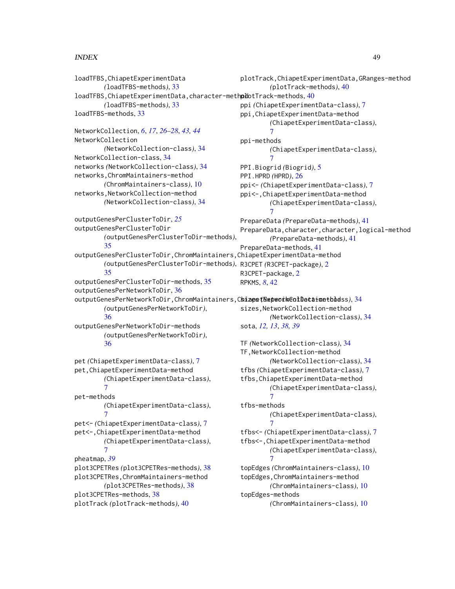### INDEX 49

```
loadTFBS,ChiapetExperimentData
        (loadTFBS-methods), 33
40
        (loadTFBS-methods), 33
loadTFBS-methods, 33
NetworkCollection, 6, 17, 26–28, 43, 44
NetworkCollection
        (NetworkCollection-class), 34
NetworkCollection-class, 34
networks (NetworkCollection-class), 34
networks,ChromMaintainers-method
        (ChromMaintainers-class), 10
networks,NetworkCollection-method
        (NetworkCollection-class), 34
outputGenesPerClusterToDir, 25
outputGenesPerClusterToDir
        (outputGenesPerClusterToDir-methods),
        35
outputGenesPerClusterToDir,ChromMaintainers,ChiapetExperimentData-method
        (outputGenesPerClusterToDir-methods),
R3CPET (R3CPET-package), 2
        35
outputGenesPerClusterToDir-methods, 35
outputGenesPerNetworkToDir, 36
outputGenesPerNetworkToDir,ChromMaintainers,ChiapetExperimentData-method
sizes (NetworkCollection-class), 34
        (outputGenesPerNetworkToDir),
        36
outputGenesPerNetworkToDir-methods
        (outputGenesPerNetworkToDir),
        36
pet (ChiapetExperimentData-class), 7
pet,ChiapetExperimentData-method
        (ChiapetExperimentData-class),
        7
pet-methods
        (ChiapetExperimentData-class),
        7
pet<- (ChiapetExperimentData-class), 7
pet<-,ChiapetExperimentData-method
        (ChiapetExperimentData-class),
        7
pheatmap, 39
plot3CPETRes (plot3CPETRes-methods), 38
plot3CPETRes,ChromMaintainers-method
        (plot3CPETRes-methods), 38
plot3CPETRes-methods, 38
plotTrack (plotTrack-methods), 40
                                              plotTrack,ChiapetExperimentData,GRanges-method
                                                      (plotTrack-methods), 40
                                              ppi (ChiapetExperimentData-class), 7
                                              ppi,ChiapetExperimentData-method
                                                      (ChiapetExperimentData-class),
                                                      7
                                              ppi-methods
                                                      (ChiapetExperimentData-class),
                                                       7
                                              PPI.Biogrid (Biogrid), 5
                                              PPI.HPRD (HPRD), 26
                                              ppi<- (ChiapetExperimentData-class), 7
                                              ppi<-,ChiapetExperimentData-method
                                                      (ChiapetExperimentData-class),
                                                       7
                                              PrepareData (PrepareData-methods), 41
                                              PrepareData,character,character,logical-method
                                                      (PrepareData-methods), 41
                                              PrepareData-methods, 41
                                              R3CPET-package, 2
                                              RPKMS, 8, 42
                                              sizes,NetworkCollection-method
                                                      (NetworkCollection-class), 34
                                              sota, 12, 13, 38, 39
                                              TF (NetworkCollection-class), 34
                                              TF,NetworkCollection-method
                                                      (NetworkCollection-class), 34
                                              tfbs (ChiapetExperimentData-class), 7
                                              tfbs,ChiapetExperimentData-method
                                                      (ChiapetExperimentData-class),
                                                      7
                                              tfbs-methods
                                                      (ChiapetExperimentData-class),
                                                       7
                                              tfbs<- (ChiapetExperimentData-class), 7
                                              tfbs<-,ChiapetExperimentData-method
                                                      (ChiapetExperimentData-class),
                                                      7
                                              topEdges (ChromMaintainers-class), 10
                                              topEdges,ChromMaintainers-method
                                                      (ChromMaintainers-class), 10
                                              topEdges-methods
                                                      (ChromMaintainers-class), 10
```